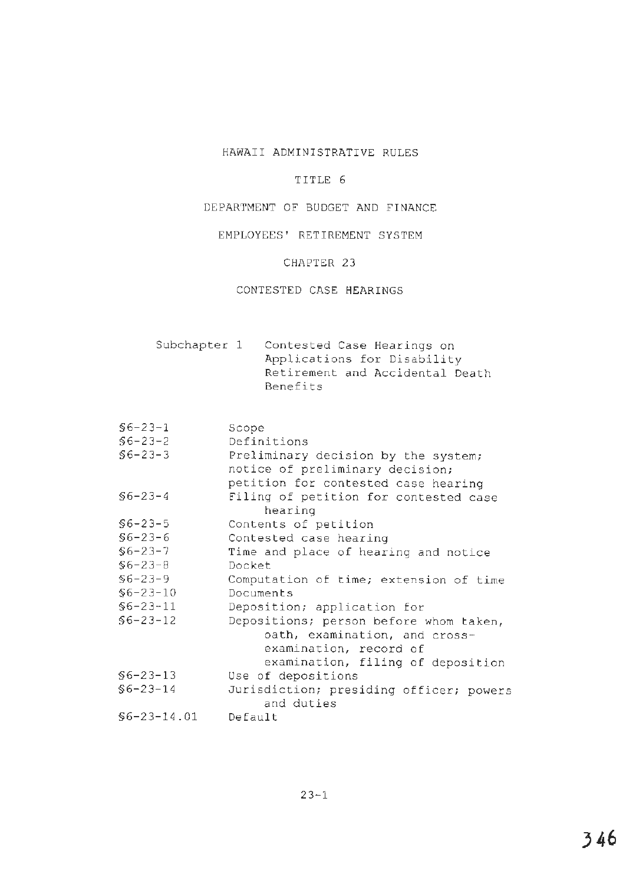# HAWAII ADMINISTRATIVE RULES

### TITLE 6

### DEPARTMENT OF BUDGET AND FINANCE

### EMPLOYEES' RETIREMENT SYSTEM

## CHAPTER 23

# CONTESTED CASE HEARINGS

Subchapter 1 Contested Case Hearings on Applications for Disability Retirement and Accidental Death Benefits

§6-23-1 Scope §6-23-2 Definitions §6-23-3 Preliminary decision by the system; notice of preliminary decision; petition for contested case hearing §6-23-4 Filing of petition for contested case hearing §6-23-5 Contents of petition §6-23-6 Contested case hearing §6-23-7 Time and place of hearing and notice §6-23-8 Docket §6-23-9 Computation of time; extension of time §6-23-10 Documents §6-23-11 Deposition; application for §6-23-12 Depositions; person before whom taken, oath, examination, and crossexamination, record of examination, filing of deposition §6-23-13 Use of depositions §6-23-14 Jurisdiction; presiding officer; powers and duties §[6-23-14.01](https://6-23-14.01) Default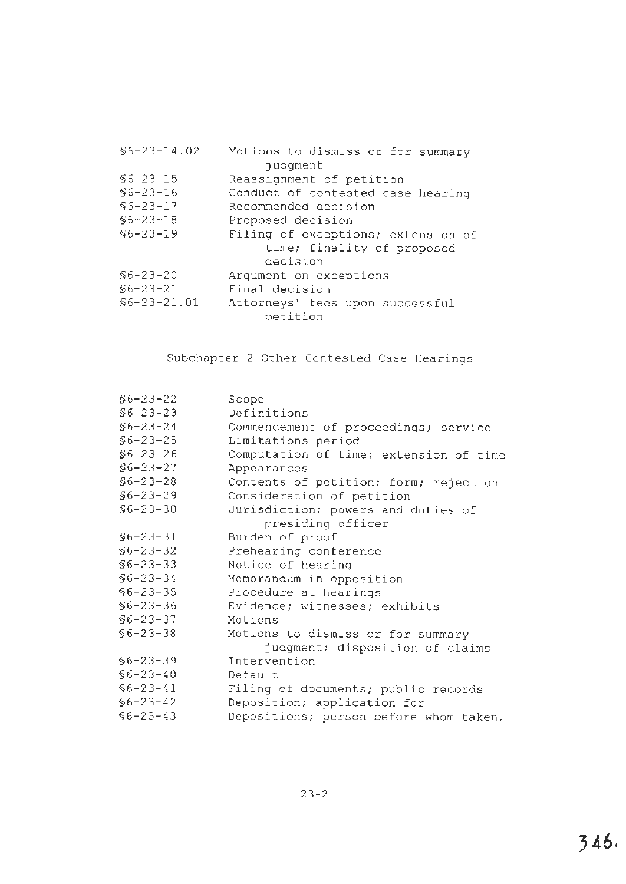| $$6 - 23 - 14.02$ | Motions to dismiss or for summary  |  |  |
|-------------------|------------------------------------|--|--|
| judgment          |                                    |  |  |
| $$6 - 23 - 15$    | Reassignment of petition           |  |  |
| $$6 - 23 - 16$    | Conduct of contested case hearing  |  |  |
| $$6 - 23 - 17$    | Recommended decision               |  |  |
| $$6 - 23 - 18$    | Proposed decision                  |  |  |
| $$6 - 23 - 19$    | Filing of exceptions; extension of |  |  |
|                   | time; finality of proposed         |  |  |
|                   | decision                           |  |  |
| $$6 - 23 - 20$    | Argument on exceptions             |  |  |
| $$6 - 23 - 21$    | Final decision                     |  |  |
| $$6 - 23 - 21.01$ | Attorneys' fees upon successful    |  |  |
| petition          |                                    |  |  |

Subchapter 2 Other Contested Case Hearings

| $$6 - 23 - 22$ | Scope                                  |
|----------------|----------------------------------------|
| $$6 - 23 - 23$ | Definitions                            |
| $$6 - 23 - 24$ | Commencement of proceedings; service   |
| $$6 - 23 - 25$ | Limitations period                     |
| $$6 - 23 - 26$ | Computation of time; extension of time |
| $$6 - 23 - 27$ | Appearances                            |
| $$6 - 23 - 28$ | Contents of petition; form; rejection  |
| $$6 - 23 - 29$ | Consideration of petition              |
| $$6 - 23 - 30$ | Jurisdiction; powers and duties of     |
|                | presiding officer                      |
| $$6 - 23 - 31$ | Burden of proof                        |
| $$6 - 23 - 32$ | Prehearing conference                  |
| $$6 - 23 - 33$ | Notice of hearing                      |
| $$6 - 23 - 34$ | Memorandum in opposition               |
| $$6 - 23 - 35$ | Procedure at hearings                  |
| $$6 - 23 - 36$ | Evidence; witnesses; exhibits          |
| $$6 - 23 - 37$ | Motions                                |
| $$6 - 23 - 38$ | Motions to dismiss or for summary      |
|                | judgment; disposition of claims        |
| $$6 - 23 - 39$ | Intervention                           |
| $$6 - 23 - 40$ | Default                                |
| $$6 - 23 - 41$ | Filing of documents; public records    |
| $$6 - 23 - 42$ | Deposition; application for            |
| $$6 - 23 - 43$ | Depositions; person before whom taken, |
|                |                                        |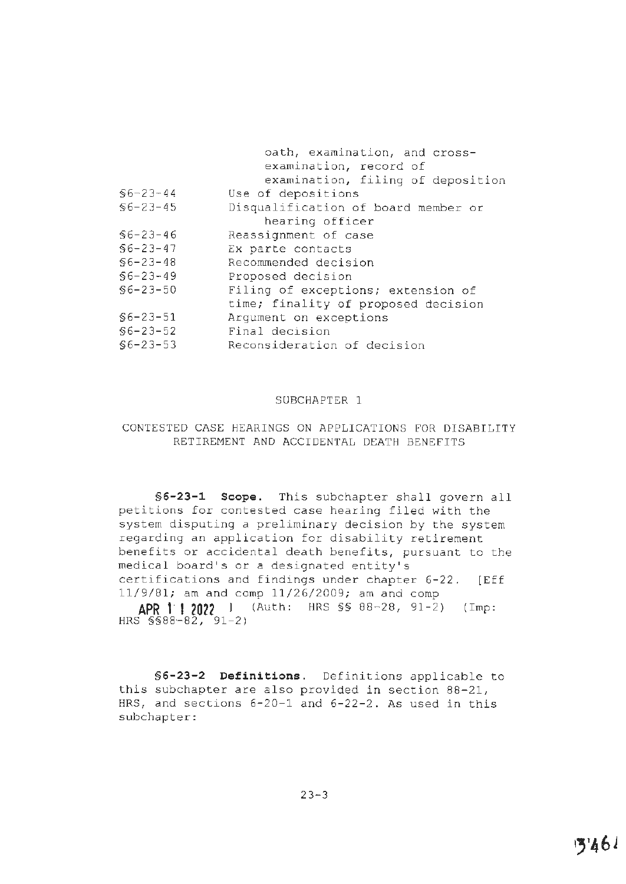|                | oath, examination, and cross-       |  |
|----------------|-------------------------------------|--|
|                | examination, record of              |  |
|                | examination, filing of deposition   |  |
| $$6 - 23 - 44$ | Use of depositions                  |  |
| $$6 - 23 - 45$ | Disqualification of board member or |  |
|                | hearing officer                     |  |
| $$6 - 23 - 46$ | Reassignment of case                |  |
| $$6 - 23 - 47$ | Ex parte contacts                   |  |
| $$6 - 23 - 48$ | Recommended decision                |  |
| $$6 - 23 - 49$ | Proposed decision                   |  |
| $$6 - 23 - 50$ | Filing of exceptions; extension of  |  |
|                | time; finality of proposed decision |  |
| $$6 - 23 - 51$ | Arqument on exceptions              |  |
| $$6 - 23 - 52$ | Final decision                      |  |
| $$6 - 23 - 53$ | Reconsideration of decision         |  |

### SUBCHAPTER 1

# CONTESTED CASE HEARINGS ON APPLICATIONS FOR DISABILITY RETIREMENT AND ACCIDENTAL DEATH BENEFITS

**§6-23-1 Scope.** This subchapter shall govern all petitions for contested case hearing filed with the system disputing a preliminary decision by the system regarding an application for disability retirement benefits or accidental death benefits, pursuant to the medical board's or a designated entity's certifications and findings under chapter 6-22. [Eff 11/9/81; am and comp 11/26/2009; am and comp **APR 1· I 2022** l (Auth: HRS §§ 8 8-28, 91-2) (Imp:

HRS §§88-82, 91-2)

**§6-23-2 Definitions.** Definitions applicable to this subchapter are also provided in section 88-21, HRS, and sections 6-20-1 and 6-22-2. As used in this subchapter: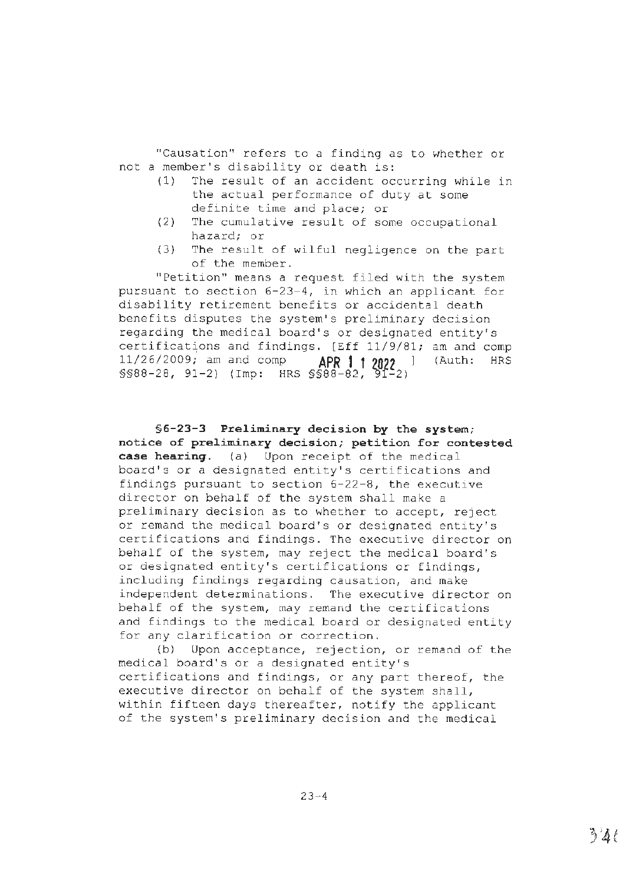"Causation" refers to a finding as to whether or not a member's disability or death is:

- (1) The result of an accident occurring while in the actual performance of duty at some definite time and place; or
- (2) The cumulative result of some occupational hazard; or
- (3) The result of wilful negligence on the part of the member.

"Petition" means a request filed with the system pursuant to section 6-23-4, in which an applicant for disability retirement benefits or accidental death benefits disputes the system's preliminary decision regarding the medical board's or designated entity's certifications and findings. [Eff 11/9/81; am and comp 11/26/2009; am and comp **APR 1 1 20?2** ] (Auth: HRS §§88-28, 91-2) (Imp: HRS §§88-82, 9f-2)

**§6-23-3 Preliminary decision by the system; notice of preliminary decision; petition for contested case hearing.** (a) Upon receipt of the medical board's or a designated entity's certifications and findings pursuant to section 6-22-8, the executive director on behalf of the system shall make a preliminary decision as to whether to accept, reject or remand the medical board's or designated entity's certifications and findings. The executive director on behalf of the system, may reject the medical board's or designated entity's certifications or findings, including findings regarding causation, and make independent determinations. The executive director on behalf of the system, may remand the certifications and findings to the medical board or designated entity for any clarification or correction.

{b) Upon acceptance, rejection, or remand of the medical board's or a designated entity's certifications and findings, or any part thereof, the executive director on behalf of the system shall, within fifteen days thereafter, notify the applicant of the system's preliminary decision and the medical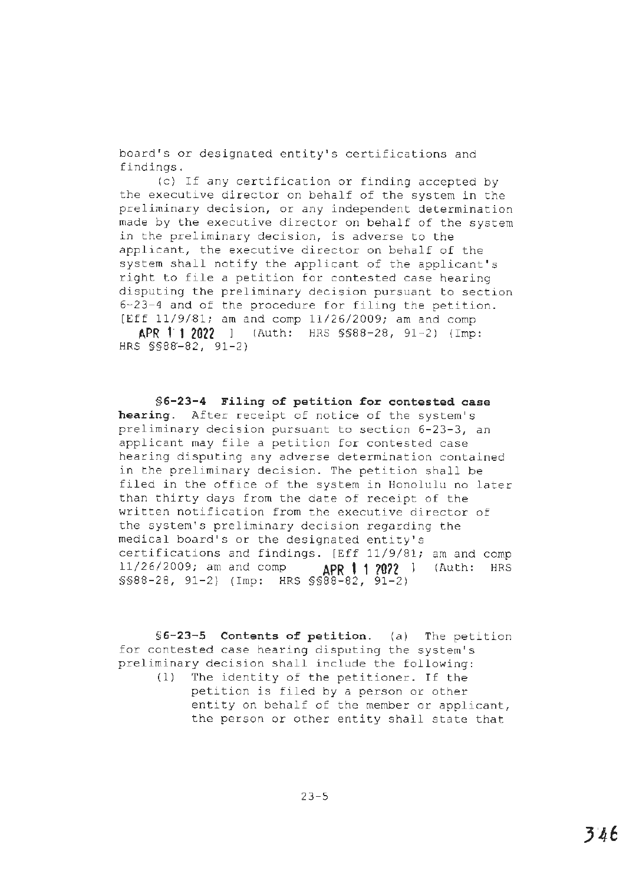board's or designated entity's certifications and findings.

(c) If any certification or finding accepted by the executive director on behalf of the system in the preliminary decision, or any independent determination made by the executive director on behalf of the system in the preliminary decision, is adverse to the applicant, the executive director on behalf of the system shall notify the applicant of the applicant's right to file a petition for contested case hearing disputing the preliminary decision pursuant to section 6-23-4 and of the procedure for filing the petition. [Eff 11/9/81; am and comp 11/26/2009; am and comp

**A.PR 1· 1 2022** l (Auth: HRS §§88-28, 91-2) (Imp: HRS §§88'-82, 91-2)

**§6-23-4 Filing of petition for contested case hearing.** After receipt of notice of the system's preliminary decision pursuant to section 6-23-3, an applicant may file a petition for contested case hearing disputing any adverse determination contained in the preliminary decision. The petition shall be filed in the office of the system in Honolulu no later than thirty days from the date of receipt of the written notification from the executive director of the system's preliminary decision regarding the medical board's or the designated entity's certifications and findings. [Eff 11/9/81; am and comp 11/26/2009; am and comp **APR t·1 ?0?2** ] (Auth: HRS §§88-28, 91-2) (Imp: HRS §§88-82, 91-2)

**§6-23-S Contents of petition.** (a) The petition for contested case hearing disputing the system's preliminary decision shall include the following:

(1) The identity of the petitioner. If the petition is filed by a person or other entity on behalf of the member or applicant, the person or other entity shall state that

23-5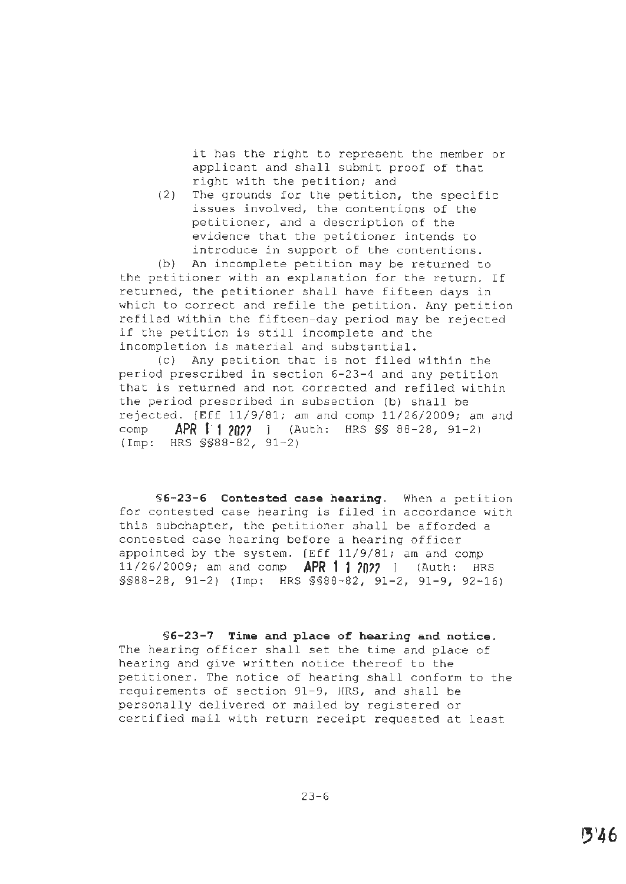it has the right to represent the member or applicant and shall submit proof of that right with the petition; and

(2) The grounds for the petition, the specific issues involved, the contentions of the petitioner, and a description of the evidence that the petitioner intends to introduce in support of the contentions.

(b) An incomplete petition may be returned to the petitioner with an explanation for the return. If returned, the petitioner shall have fifteen days in which to correct and refile the petition. Any petition refiled within the fifteen-day period may be rejected if the petition is still incomplete and the incompletion is material and substantial.

(c) Any petition that is not filed within the period prescribed in section 6-23-4 and any petition that is returned and not corrected and refiled within the period prescribed in subsection (b) shall be rejected. [Eff 11/9/81; am and comp 11/26/2009; am and comp **APR 1· 1** *20??* ] (Auth: HRS §§ 88-28, 91-2 l (Imp: HRS §§88-82, 91-2)

**§6-23-6 Contested case hearing.** When a petition for contested case hearing is filed in accordance with this subchapter, the petitioner shall be afforded a contested case hearing before a hearing officer appointed by the system. (Eff 11/9/81; am and comp 11/26/2009; am and comp **APR 1· 1 70?7** ] (Auth: HRS §§88-28, 91-2) (Imp: HRS §§88-82, 91-2, 91-9, 92-16)

#### **§6-23-7 Time and p1ace of hearing and notice.**

The hearing officer shall set the time and place of hearing and give written notice thereof to the petitioner. The notice of hearing shall conform to the requirements of section 91-9, HRS, and shall be personally delivered or mailed by registered or certified mail with return receipt requested at least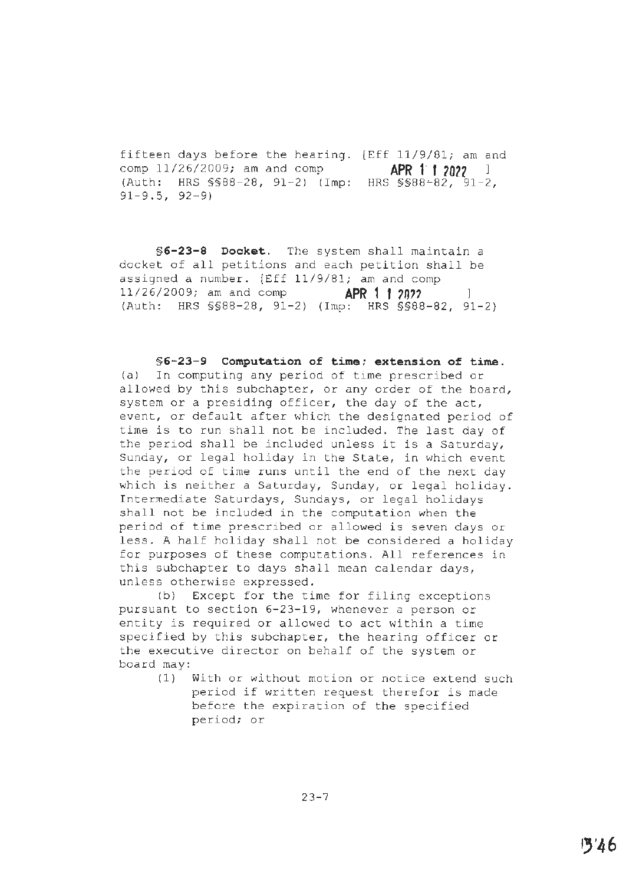fifteen days before the hearing. [Eff 11/9/81; am and comp 11/26/2009; am and comp **APR 1' 1 20?2** l (Auth: HRS §§88-28, 91-2) (Imp: HRS §§88~82, 91-2, 91-9.5, 92-9)

**§6-23-8 Docket.** The system shall maintain a docket of all petitions and each petition shall be assigned a number. [Eff 11/9/81; am and comp 11/26/2009; am and comp **APR 1 1** *?0,?* <sup>l</sup>  $(Auth: HRS SSB8-28, 91-2) (Imp: HRS SSB8-82, 91-2)$ 

### **§6-23-9 Computation of time; extension of time.**

(a) In computing any period of time prescribed or allowed by this subchapter, or any order of the board, system or a presiding officer, the day of the act, event, or default after which the designated period of time is to run shall not be included. The last day of the period shall be included unless it is a Saturday, Sunday, or legal holiday in the State, in which event the period of time runs until the end of the next day which is neither a Saturday, Sunday, or legal holiday. Intermediate Saturdays, Sundays, or legal holidays shall not be included in the computation when the period of time prescribed or allowed is seven days or less. A half holiday shall not be considered a holiday for purposes of these computations. All references in this subchapter to days shall mean calendar days, unless otherwise expressed.

(b) Except for the time for filing exceptions pursuant to section 6-23-19, whenever a person or entity is required or allowed to act within a time specified by this subchapter, the hearing officer or the executive director on behalf of the system or board may:

> (1) With or without motion or notice extend such period if written request therefor is made before the expiration of the specified period; or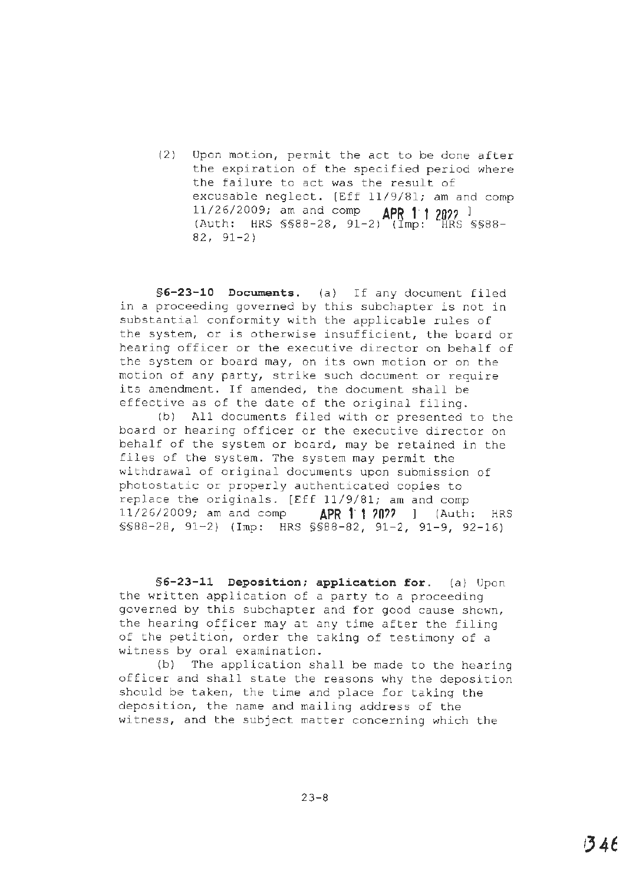(2) Upon motion, permit the act to be done after the expiration of the specified period where the failure to act was the result of excusable neglect. [Eff 11/9/81; am and comp 11/26/2009; am and comp **APR 1· t 20?7** <sup>l</sup> (Auth: HRS §§88-28, 91-2) (Imp: HRS §§88- 82, 91-2)

**§6-23-10 Documents.** (a) If any document filed in a proceeding governed by this subchapter is not in substantial conformity with the applicable rules of the system, or is otherwise insufficient, the board or hearing officer or the executive director on behalf of the system or board may, on its own motion or on the motion of any party, strike such document or require its amendment. If amended, the document shall be effective as of the date of the original filing.

(b) All documents filed with or presented to the board or hearing officer or the executive director on behalf of the system or board, may be retained in the files of the system. The system may permit the withdrawal of original documents upon submission of photostatic or properly authenticated copies to replace the originals. [Eff 11/9/81; am and comp 11/26/2009; am and comp **APR 1· 1 70??** ] (Auth: HRS §§88-28, 91-2) (Imp: HRS §§88-82, 91-2, 91-9, 92-16)

§6-23-11 Deposition; application for. (a) Upon the written application of a party to a proceeding governed by this subchapter and for good cause shown, the hearing ofticer may at any time after the filing of the petition, order the taking of testimony of a witness by oral examination.

(b) The application shall be made to the hearing officer and shall state the reasons why the deposition should be taken, the time and place for taking the deposition, the name and mailing address of the witness, and the subject matter concerning which the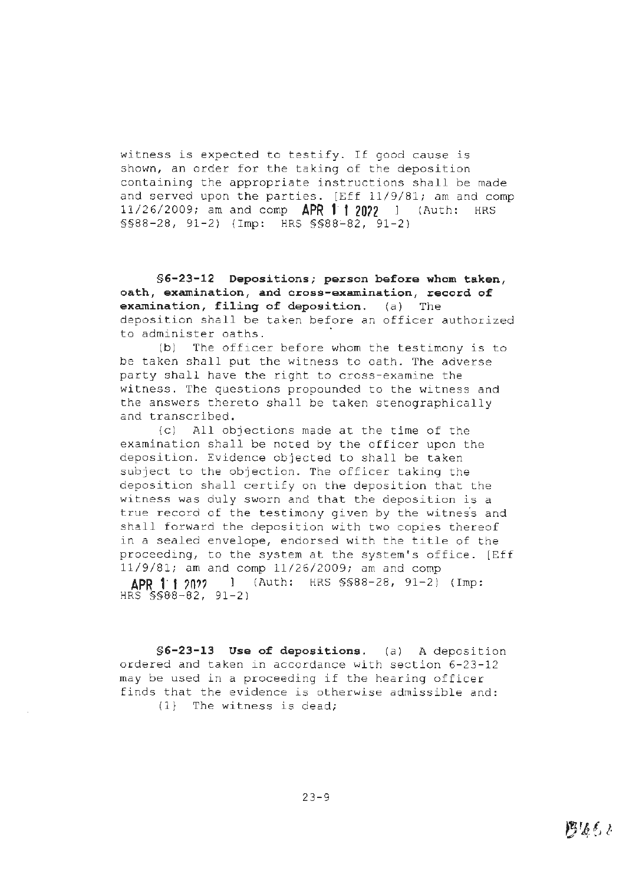witness is expected to testify. If good cause is shown, an order for the taking of the deposition containing the appropriate instructions shall be made and served upon the parties. [Eff 11/9/81; am and comp 11/26/2009; am and comp **APR 11 20n** l (Auth: HRS §§88-28, 91-2) (Imp: HRS §§88~82, 91-2)

**§6-23-12 Depositions; person before whom taken, oath, examination, and cross-examination, record of examination, filing of deposition.** (a) The deposition shall be taken before an officer authorized to administer oaths.

(b) The officer before whom the testimony is to be taken shall put the witness to oath. The adverse party shall have the right to cross-examine the witness. The questions propounded to the witness and the answers thereto shall be taken stenographically and transcribed.

(c) All objections made at the time of the examination shall be noted by the officer upon the deposition. Evidence objected to shall be taken subject to the objection. The officer taking the deposition shall certify on the deposition that the witness was duly sworn and that the deposition is a true record of the testimony given by the witness and shall forward the deposition with two copies thereof in a sealed envelope, endorsed with the title of the proceeding, to the system at the system's office. [Eff 11/9/81; am and comp 11/26/2009; am and comp

**APR 1· 1 ?O??** l {Auth: HRS §§88-28, 91-2) (Imp: HRS §§8"8-82, 91-2)

**§6-23-13 Use of depositions.** (a) A deposition ordered and taken in accordance with section 6-23-12 may be used in a proceeding if the hearing officer finds that the evidence is otherwise admissible and: (1} The witness is dead;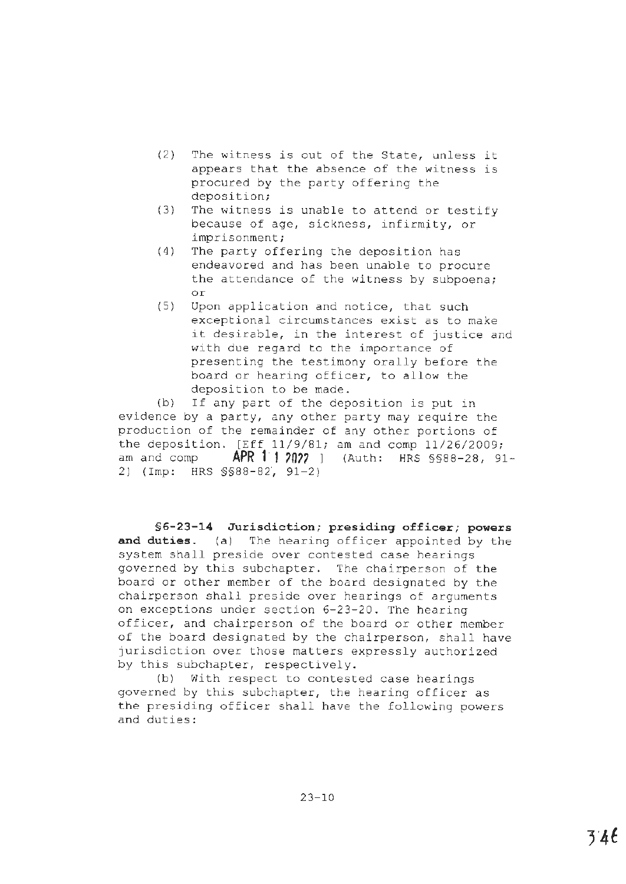- (2) The witness is out of the State, unless it appears that the absence of the witness is procured by the party offering the deposition;
- (3) The witness is unable to attend or testify because of age, sickness, infirmity, or imprisonment;
- (4) The party offering the deposition has endeavored and has been unable to procure the attendance of the witness by subpoena; or
- (5) Upon application and notice, that such exceptional circumstances exist as to make it desirable, in the interest of justice and with due regard to the importance of presenting the testimony orally before the board or hearing officer, to allow the deposition to be made.

(b) If any part of the deposition is put in evidence by a party, any other party may require the production of the remainder of any other portions of the deposition. [Eff 11/9/81; am and comp 11/26/2009; am and comp **APR 1:1 2022** ] (Auth: HRS §§88-28, 91-2) (Imp: HRS §§88-82·, 91-2)

**§6-23-14 Jurisdiction; presiding officer; powers and duties.** (a) The hearing officer appointed by the system shall preside over contested case hearings governed by this subchapter. The chairperson of the board or other member of the board designated by the chairperson shall preside over hearings of arguments on exceptions under section 6-23-20. The hearing officer, and chairperson of the board or other member of the board designated by the chairperson, shall have jurisdiction over those matters expressly authorized by this subchapter, respectively.

(b) With respect to contested case hearings governed by this subchapter, the hearing officer as the presiding officer shall have the following powers and duties: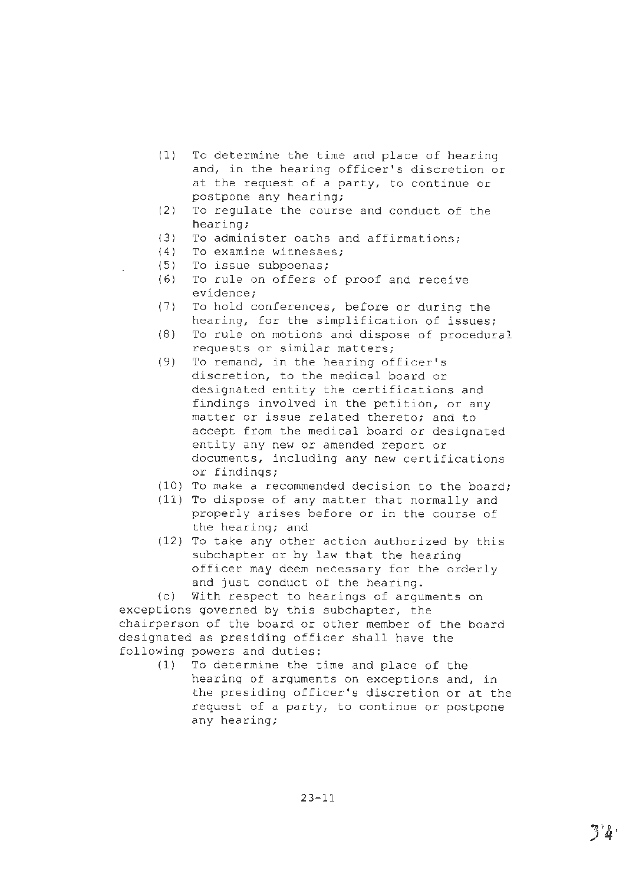- (1) To determine the time and place of hearing and, in the hearing officer's discretion or at the request of a party, to continue or postpone any hearing;
- (2) To regulate the course and conduct of the hearing;
- (3) To administer oaths and affirmations;
- (4) To examine witnesses;
- (5) To issue subpoenas;
- (6) To rule on offers of proof and receive evidence;
- (7) To hold conferences, before or during the hearing, for the simplification of issues;
- (8) To rule on motions and dispose of procedural requests or similar matters;
- (9) To remand, in the hearing officer's discretion, to the medical board or designated entity the certifications and findings involved in the petition, or any matter or issue related thereto; and to accept from the medical board or designated entity any new or amended report or documents, including any new certifications or findings;
- (10) To make a recommended decision to the board;
- (11) To dispose of any matter that normally and properly arises before or in the course of the hearing; and
- (12) To take any other action authorized by this subchapter or by law that the hearing officer may deem necessary for the orderly and just conduct of the hearing.

(c) With respect to hearings of arguments on exceptions governed by this subchapter, the chairperson of the board or other member of the board designated as presiding officer shall have the following powers and duties;

(1) To determine the time and place of the hearing of arguments on exceptions and, in the presiding officer's discretion or at the request of a party, to continue or postpone any hearing;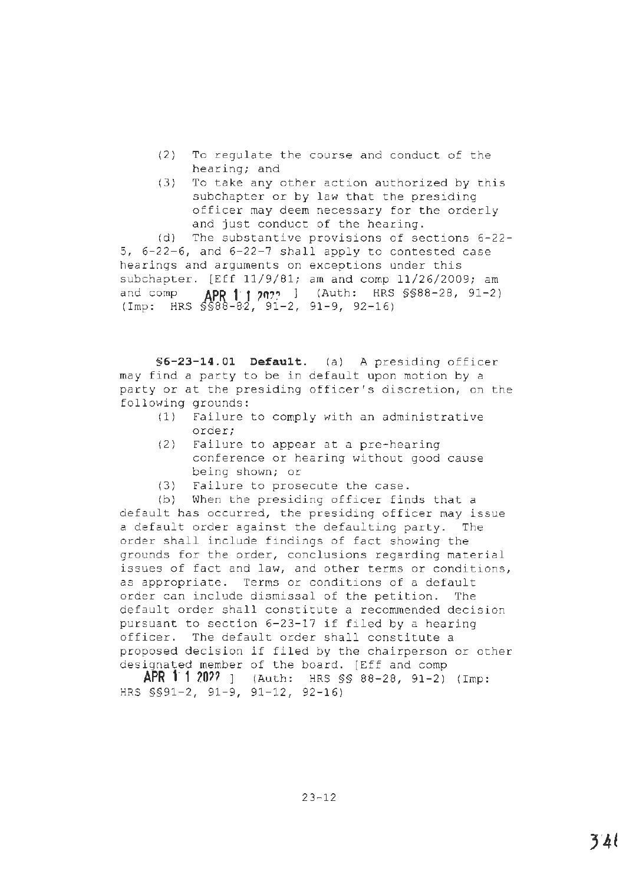- (2) To regulate the course and conduct of the hearing; and
- (3) To take any other action authorized by this subchapter or by law that the presiding officer may deem necessary for the orderly and just conduct of the hearing.

(d) The substantive provisions of sections 6-22- 5, 6-22-6, and 6-22-7 shall apply to contested case hearings and arguments on exceptions under this subchapter. [Eff 11/9/81; am and comp 11/26/2009; am and comp **APR 1:1 2022** J (Auth: HRS §§88-28, 91-2) (Imp: HRS §§88-82, 91-2, 91-9, 92-16)

§6-23-14.01 Default. (a) A presiding officer may find a party to be in default upon motion by a party or at the presiding officer's discretion, on the following grounds:

- (1) Failure to comply with an administrative order;
- (2) Failure to appear at a pre-hearing conference or hearing without good cause being shown; or
- (3) Failure to prosecute the case.

(b) When the presiding officer finds that a default has occurred, the presiding officer may issue a default order against the defaulting party. The order shall include findings of fact showing the grounds for the order, conclusions regarding material issues of fact and law, and other terms or conditions, as appropriate. Terms or conditions of a default order can include dismissal of the petition. The default order shall constitute a recommended decision pursuant to section 6-23-17 if filed by a hearing officer. The default order shall constitute a proposed decision if filed by the chairperson or other designated member of the board. [Eff and comp

**APR 1-1 20??** ] (Auth: HRS §§ 88-28, 91-2) (Imp: HRS §§91-2, 91-9, 91-12, 92-16)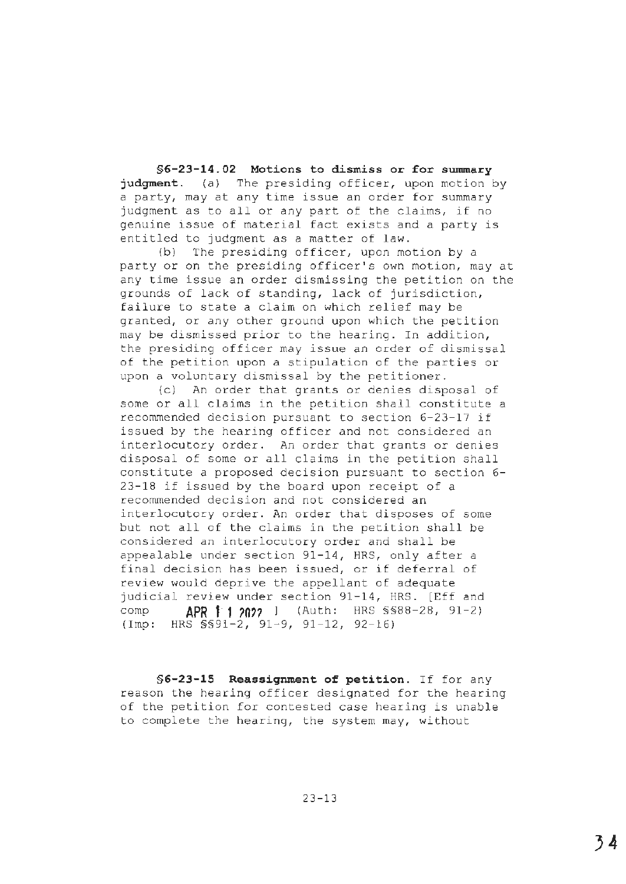**§[6-23-14.02](https://6-23-14.02) Motions to dismiss or for swnmary judgment.** (a) The presiding officer, upon motion by a party, may at any time issue an order for summary judgment as to all or any part of the claims, if no genuine issue of material fact exists and a party is entitled to judgment as a matter of law.

(b) The presiding officer, upon motion by a party or on the presiding officer's own motion, may at any time issue an order dismissing the petition on the grounds of lack of standing, lack of jurisdiction, failure to state a claim on which relief may be granted, or any other ground upon which the petition may be dismissed prior to the hearing. In addition, the presiding officer may issue an order of dismissal of the petition upon a stipulation of the parties or upon a voluntary dismissal by the petitioner.

(cl An order that grants or denies disposal of some or all claims in the petition shall constitute a recommended decision pursuant to section 6-23-17 if issued by the hearing officer and not considered an interlocutory order. An order that grants or denies disposal of some or all claims in the petition shall constitute a proposed decision pursuant to section 6- 23-18 if issued by the board upon receipt of a recommended decision and not considered an interlocutory order. An order that disposes of some but not all of the claims in the petition shall be considered an interlocutory order and shall be appealable under section 91-14, HRS, only after a final decision has been issued, or if deferral of review would deprive the appellant of adequate judicial review under section 91-14, HRS. [Eff and comp **APR 11 ?O??** ] (Auth: HRS §§88-28, 91-2) (Imp: HRS §§91-2, 91-9, 91-12, 92-16)

**§6-23-15 Reassignment of petition.** If for any reason the hearing officer designated for the hearing of the petition for contested case hearing is unable to complete the hearing, the system may, without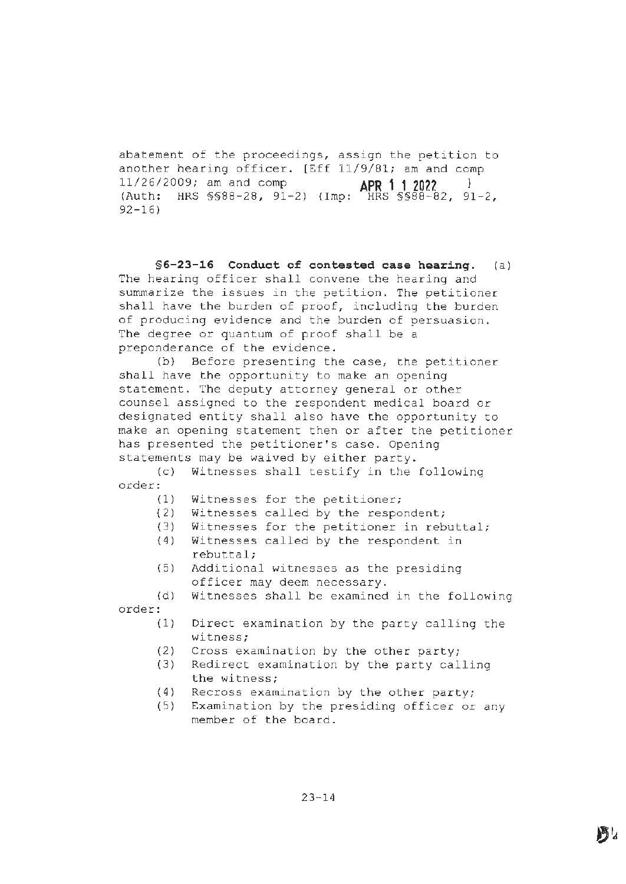abatement of the proceedings, assign the petition to another hearing officer. [Eff 11/9/81; am and comp 11/26/2009; am and comp **APR 1' 1 2022** <sup>l</sup> (Auth: HRS §§88-28, 91-2) (Imp: HRS §§88-82, 91-2, 92-16)

**§6-23-16 Conduct of contested case hearing.** (a) The hearing officer shall convene the hearing and summarize the issues in the petition. The petitioner shall have the burden of proof, including the burden of producing evidence and the burden of persuasion. The degree or quantum of proof shall be a preponderance of the evidence.

(b) Before presenting the case, the petitioner shall have the opportunity to make an opening statement. The deputy attorney general or other counsel assigned to the respondent medical board or designated entity shall also have the opportunity to make an opening statement then or after the petitioner has presented the petitioner's case. Opening statements may be waived by either party.

(c) Witnesses shall testify in the following order:

- ( 1) Witnesses for the petitioner;
- { 2) Witnesses called by the respondent;
- { 3) Witnesses for the petitioner in rebuttal;
- (4) Witnesses called by the respondent in rebuttal;
- (5) Additional witnesses as the presiding officer may deem necessary.
- (d) Witnesses shall be examined in the following order:
	- (1) Direct examination by the party calling the witness;
	- (2) Cross examination by the other party;
	- (3) Redirect examination by the party calling the witness;
	- (4) Recross examination by the other party;
	- (5) Examination by the presiding officer or any member of the board.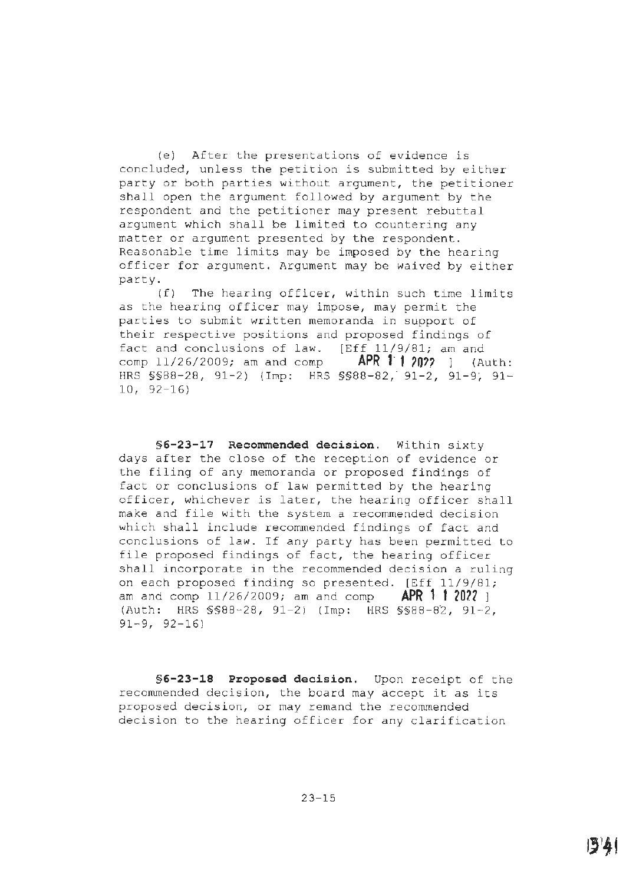(e) After the presentations of evidence is concluded, unless the petition is submitted by either party or both parties without argument, the petitioner shall open the argument followed by argument by the respondent and the petitioner may present rebuttal argument which shall be limited to countering any matter or argument presented by the respondent. Reasonable time limits may be imposed by the hearing officer for argument. Argument may be waived by either party.

(f) The hearing officer, within such time limits as the hearing officer may impose, may permit the parties to submit written memoranda in support of their respective positions and proposed findings of fact and conclusions of law. [Eff 11/9/81; am and comp 11/26/2009; am and comp **APR 1:1 2022** 1 (Auth: HRS §§88-28, 91-2) (Imp: HRS §§88-82, 91-2, 91-9; 91-10, 92-16)

**§6-23-17 Recommended decision.** Within sixty days after the close of the reception of evidence or the filing of any memoranda or proposed findings of fact or conclusions of law permitted by the hearing officer, whichever is later, the hearing officer shall make and file with the system a recommended decision which shall include recommended findings of fact and conclusions of law. If any party has been permitted to file proposed findings of fact, the hearing officer shall incorporate in the recommended decision a ruling on each proposed finding so presented. [Eff 11/9/81; am and comp 11/26/2009; am and comp **APR 1 1 20?1** ] (Auth: HRS §§88-28, 91-2) (Imp: HRS §§88-82, 91-2, 91-9, 92-16)

**§6-23-18 Proposed decision.** Upon receipt of the reconunended decision, the board may accept it as its proposed decision, or may remand the recommended decision to the hearing officer for any clarification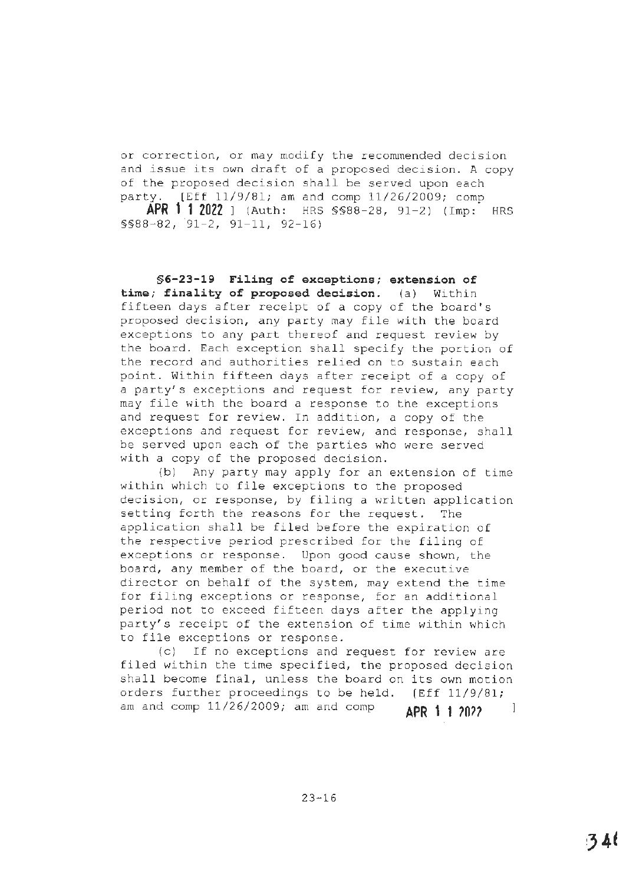or correction, or may modify the recommended decision and issue its own draft of a proposed decision. A copy of the proposed decision shall be served upon each party. [Eff 11/9/81; am and comp 11/26/2009; comp

**APR 1" 1 2022** ] (Auth: HRS §§88-28, 91-2) (Imp: HRS §§88-82, 91-2, 91-11, 92-16)

**§6-23-19 Filing of exceptions; extension of time; finality of proposed decision.** (a) Within fifteen days after receipt of a copy of the board's proposed decision, any party may file with the board exceptions to any part thereof and request review by the board. Each exception shall specify the portion of the record and authorities relied on to sustain each point. Within fifteen days after receipt of a copy of a party's exceptions and request for review, any party may file with the board a response to the exceptions and request for review. In addition, a copy of the exceptions and request for review, and response, shall be served upon each of the parties who were served with a copy of the proposed decision.

(bl Any party may apply for an extension of time within which to file exceptions to the proposed decision, or response, by filing a written application setting forth the reasons for the request. The application shall be filed before the expiration of the respective period prescribed for the filing of exceptions or response. Upon good cause shown, the board, any member of the board, or the executive director on behalf of the system, may extend the time for filing exceptions or response, for an additional period not to exceed fifteen days after the applying party's receipt of the extension of time within which to file exceptions or response.

(c) If no exceptions and request for review are filed within the time specified, the proposed decision shall become final, unless the board on its own motion orders further proceedings to be held. [Eff 11/9/81; am and comp 11/26/2009; am and comp **APR 1 1 2022** -1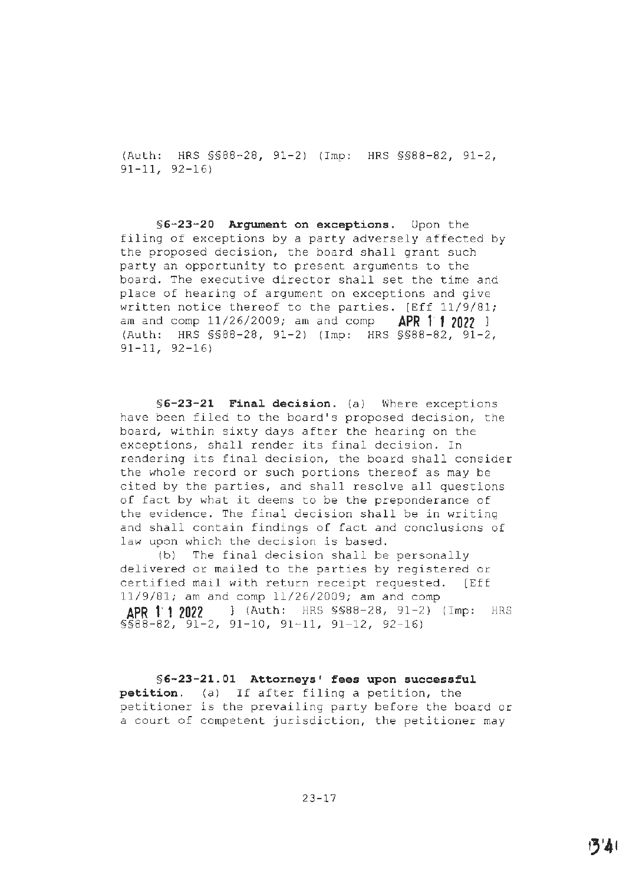(Auth: HRS §§88-28, 91-2) (Imp: HRS §§88-82, 91-2, 91-11, 92-16)

**§6-23-20 Argument on exceptions.** Upon the filing of exceptions by a party adversely affected by the proposed decision, the board shall grant such party an opportunity to present arguments to the board. The executive director shall set the time and place of hearing of argument on exceptions and give written notice thereof to the parties. [Eff 11/9/81; am and comp 11/26/2009; am and comp **APR 11 2022** <sup>l</sup> (Auth: HRS §§88-28, 91-2) (Imp: HRS §§88-82, 91-2, 91-11, 92-16)

**§6-23-21 Final decision.** (a) Where exceptions have been filed to the board's proposed decision, the board, within sixty days after the hearing on the exceptions, shall render its final decision. In rendering its final decision, the board shall consider the whole record or such portions thereof as may be cited by the parties, and shall resolve all questions of fact by what it deems to be the preponderance of the evidence. The final decision shall be in writing and shall contain findings of fact and conclusions of law upon which the decision is based.

(b) The final decision shall be personally delivered or mailed to the parties by registered or certified mail with return receipt requested. [Eff 11/9/81; am and comp 11/26/2009; am and comp **APR 1· 1 2022** l (Auth: HRS §§88-28, 91-2) (Imp: HRS  $$588-82, 91-2, 91-10, 91-11, 91-12, 92-16]$ 

**§[6-23-21.01](https://6-23-21.01) Attorneys' fees upon successful petition.** (a) If after filing a petition, the petitioner is the prevailing party before the board or a court of competent jurisdiction, the petitioner may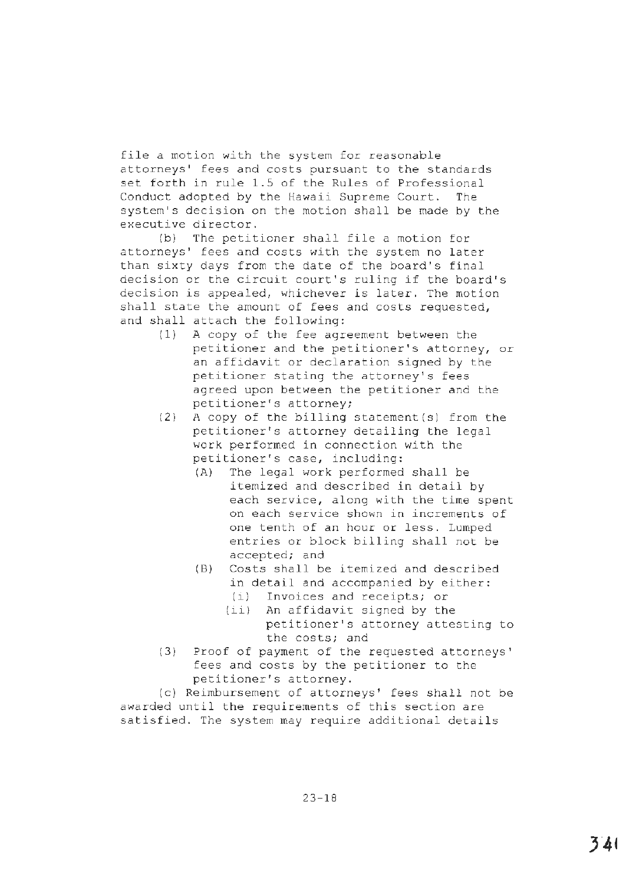file a motion with the system for reasonable attorneys' fees and costs pursuant to the standards set forth in rule 1.5 of the Rules of Professional Conduct adopted by the Hawaii Supreme Court. The system's decision on the motion shall be made by the executive director.

(b) The petitioner shall file a motion for attorneys' fees and costs with the system no later than sixty days from the date of the board's final decision or the circuit court's ruling if the board's decision is appealed, whichever is later. The motion shall state the amount of fees and costs requested, and shall attach the following:

- (1) A copy of the fee agreement between the petitioner and the petitioner's attorney, or an affidavit or declaration signed by the petitioner stating the attorney's fees agreed upon between the petitioner and the petitioner's attorney;
- (2) A copy of the billing statement(s) from the petitioner's attorney detailing the legal work performed in connection with the petitioner's case, including:
	- (A) The legal work performed shall be itemized and described in detail by each service, along with the time spent on each service shown in increments of one tenth of an hour or less. Lumped entries or block billing shall not be accepted; and
	- (B) Costs shall be itemized and described in detail and accompanied by either:
		- (i} Invoices and receipts; or
		- (ii) An affidavit signed by the petitioner's attorney attesting to the costs; and
- (3) Proof of payment of the requested attorneys' fees and costs by the petitioner to the petitioner's attorney.

(c) Reimbursement of attorneys' fees shall not be awarded until the requirements of this section are satisfied. The system may require additional details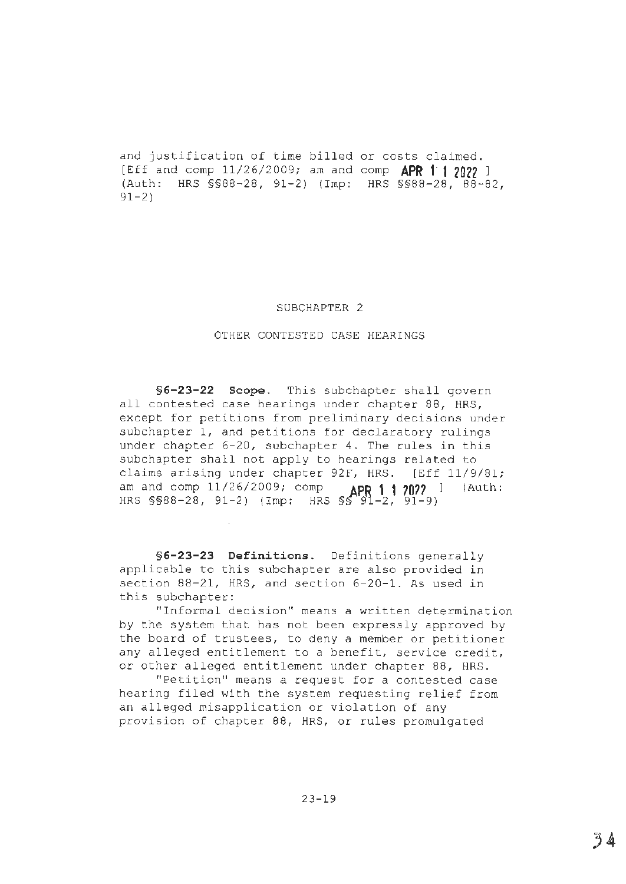and justification of time billed or costs claimed. [Eff and comp 11/26/2009; am and comp **APR 1· 1 2022** <sup>l</sup> (Auth: HRS §§88-28, 91-2) (Imp: HRS §§88-28, 88-82, 91-2)

### SUBCHAPTER 2

### OTHER CONTESTED CASE HEARINGS

**§6-23-22 Scope.** This subchapter shall govern all contested case hearings under chapter 88, HRS, except for petitions from preliminary decisions under subchapter 1, and petitions for declaratory rulings under chapter 6-20, subchapter 4. The rules in this subchapter shall not apply to hearings related to claims arising under chapter 92F, HRS. [Eff 11/9/81; am and comp 11/26/2009; comp **APR 1· 1 ?O??** ] (Auth: HRS §§88-28, 91-2) (Imp: HRS §~'9'1-2, 91-9)

**§6-23-23 Definitions.** Definitions generally applicable to this subchapter are also provided in section 88-21, HRS, and section 6-20-1. As used in this subchapter:

"Informal decision" means a written determination by the system that has not been expressly approved by the board of trustees, to deny a member or petitioner any alleged entitlement to a benefit, service credit, or other alleged entitlement under chapter 88, HRS.

"Petition" means a request for a contested case hearing filed with the system requesting relief from an alleged misapplication or violation of any provision of chapter 88, HRS, or rules promulgated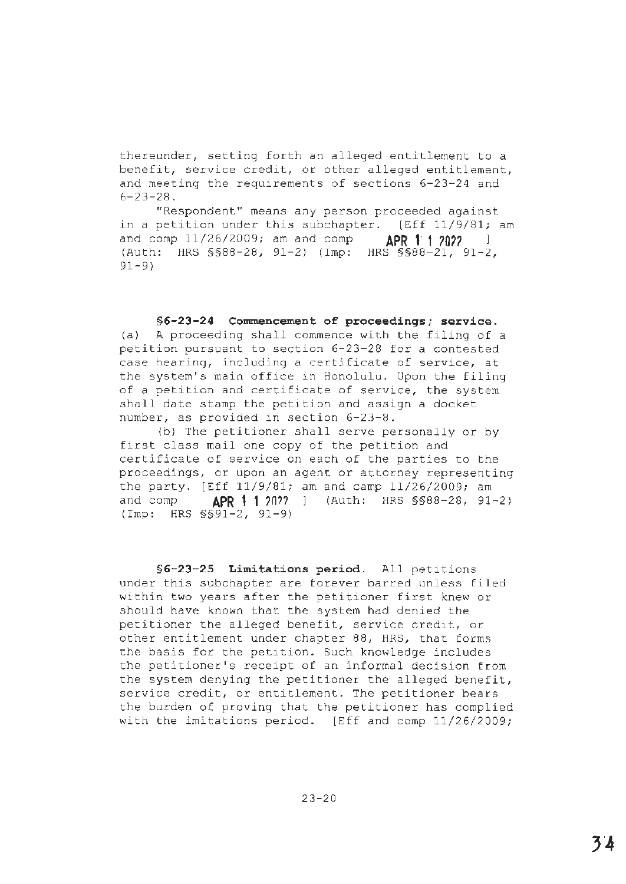thereunder, setting forth an alleged entitlement to a benefit, service credit, or other alleged entitlement, and meeting the requirements of sections 6-23-24 and  $6 - 23 - 28$ .

"Respondent" means any person proceeded against in a petition under this subchapter. [Eff 11/9/81; am and comp 11/26/2009; am and comp **APR t· f 70?7** <sup>l</sup> (Auth: HRS §§88-28, 91-2) (Imp: HRS §§88-21, 91-2, 91-9)

**§6-23-24 Commencement of proceedings; service.**  (a) A proceeding shall commence with the filing of a petition pursuant to section 6-23-28 for a contested case hearing, including a certificate of service, at the system's main office in Honolulu. Upon the filing of a petition and certificate of service, the system shall date stamp the petition and assign a docket number, as provided in section 6-23-8.

(b) The petitioner shall serve personally or by first class mail one copy of the petition and certificate of service on each of the parties to the proceedings, or upon an agent or attorney representing the party. [Eff 11/9/81; am and camp 11/26/2009; am and comp **APR 1· 1** ?n?? (Auth: HRS §§88-28, 91-2) (Imp: HRS §§91-2, 91-9)

**§6-23-25 Limitations period.** All petitions under this subchapter are forever barred unless filed within two years after the petitioner first knew or should have known that the system had denied the petitioner the alleged benefit, service credit, or other entitlement under chapter 88, HRS, that forms the basis for the petition. Such knowledge includes the petitioner's receipt of an informal decision from the system denying the petitioner the alleged benefit, service credit, or entitlement. The petitioner bears the burden of proving that the petitioner has complied with the imitations period. [Eff and comp 11/26/2009;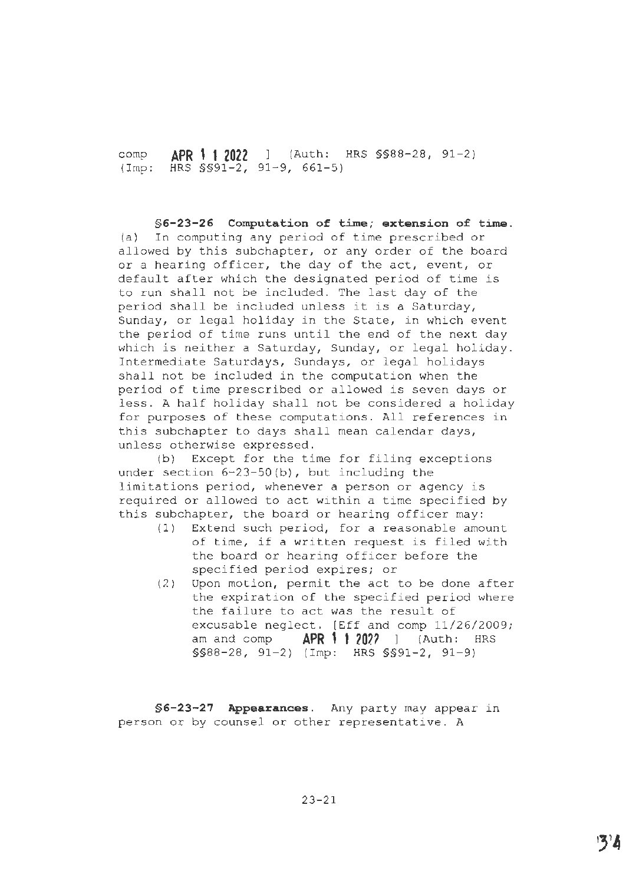comp **APR t· 1 2022** l (Auth: HRS §§88-28, 91-2) (Imp: HRS §§91-2, 91-9, 661-5)

**§6-23-26 Computation of time; extension of time.**  (a) In computing any period of time prescribed or allowed by this subchapter, or any order of the board or a hearing officer, the day of the act, event, or default after which the designated period of time is to run shall not be included. The last day of the period shall be included unless it is a Saturday, Sunday, or legal holiday in the State, in which event the period of time runs until the end of the next day which is neither a Saturday, Sunday, or legal holiday. Intermediate Saturdays, Sundays, or legal holidays shall not be included in the computation when the period of time prescribed or allowed is seven days or less. **A** half holiday shall not be considered a holiday for purposes of these computations. All references **in**  this subchapter to days shall mean calendar days, unless otherwise expressed.

(b) Except for the time for filing exceptions under section 6-23-S0(b), but including the limitations period, whenever a person or agency is required or allowed to act within a time specified by this subchapter, the board or hearing officer may:

- $(1)$  Extend such period, for a reasonable amount of time, if a written request is filed with the board or hearing officer before the specified period expires; or
- (2) Upon motion, permit the act to be done after the expiration of the specified period where the failure to act was the result of excusable neglect. [Eff and comp 11/26/2009; am and comp **APR 1 1 ion** <sup>1</sup>(Auth: HRS  $$S88-28, 91-2)$  (Imp: HRS  $$S91-2, 91-9)$

§6-23-27 Appearances. Any party may appear in person or by counsel or other representative. A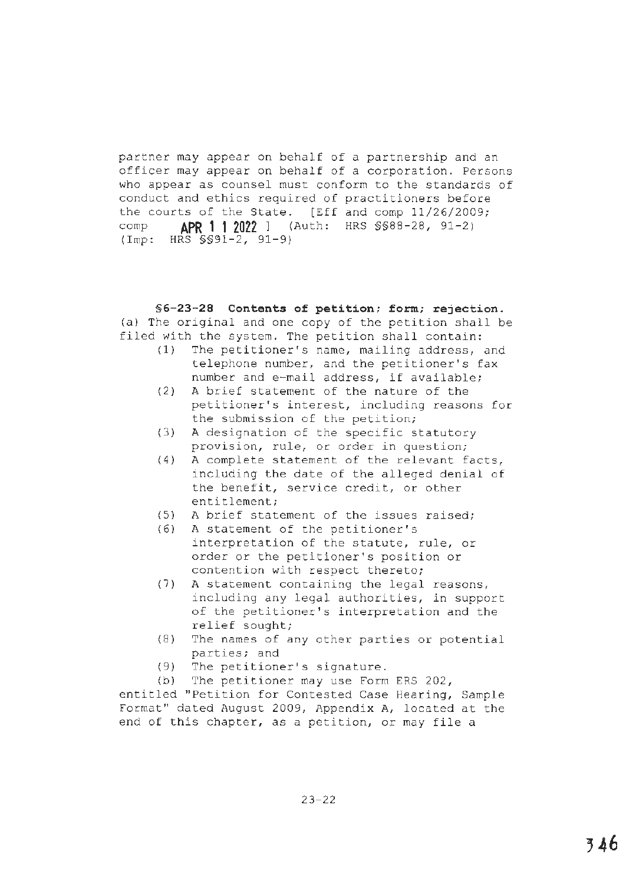partner may appear on behalf of a partnership and an officer may appear on behalf of a corporation. Persons who appear as counsel must conform to the standards of conduct and ethics required of practitioners before the courts of the State. [Eff and comp 11/26/2009; comp **APR 11 2022]** (Auth: HRS §§88-28, 91-2) (Imp: HRS §§91-2, 91-9)

# **§6-23-28 Contents of petition; form; rejection.**  (a) The original and one copy of the petition shall be filed with the system. The petition shall contain:

- (1) The petitioner's name, mailing address, and telephone number, and the petitioner's fax number and e-mail address, if available;
- (2) A brief statement of the nature of the petitioner's interest, including reasons for the submission of the petition;
- (3) A designation of the specific statutory provision, rule, or order in question;
- (4) A complete statement of the relevant facts, including the date of the alleged denial of the benefit, service credit, or other entitlement;
- (5) A brief statement of the issues raised;
- (6) A statement of the petitioner's interpretation of the statute, rule, or order or the petitioner's position or contention with respect thereto;
- (7) A statement containing the legal reasons, including any legal authorities, in support of the petitioner's interpretation and the relief sought;
- (8) The names of any other parties or potential parties; and
- (9) The petitioner's signature.
- (b) The petitioner may use Form ERS 202,

entitled "Petition for Contested Case Hearing, Sample Format" dated August 2009, Appendix A, located at the end of this chapter, as a petition, or may file a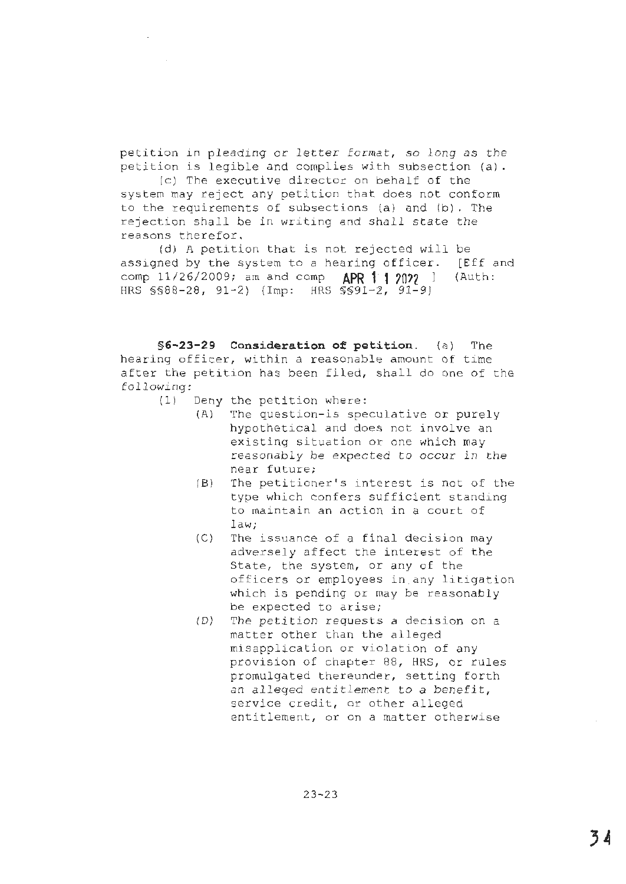petition in pleading or letter format, so long as the petition is legible and complies with subsection (a).

(c) The executive director on behalf of the system may reject any petition that does not conform to the requirements of subsections (a) and (b). The rejection shall be in writing and shall state the reasons therefor.

(d) <sup>A</sup>petition that is not rejected will be assigned by the system to a hearing officer. [Eff and comp  $11/26/2009$ ; am and comp  $APR$  1 2022 ] (Auth: comp 11/26/2009; am and comp HRS \$\$88-28, 91-2) (Imp: HRS \$\$91-2, 91-9)

**§6-23-29 Consideration of petition.** (a) The hearing officer, within a reasonable amount of time after the petition has been filed, shall do one of the following:

- $(1)$  Deny the petition where:
	- (A) The question-is speculative or purely hypothetical and does not involve an existing situation or one which may reasonably be expected to occur in the near future;
	- (B) The petitioner's interest is not of the type which confers sufficient standing to maintain an action in a court of law;
	- $(C)$  The issuance of a final decision may adversely affect the interest of the State, the system, or any of the officers or employees in any litigation which is pending or may be reasonably be expected to arise;
	- (D) The petition requests a decision on a matter other than the alleged misapplication or violation of any provision of chapter 88, HRS, or rules promulgated thereunder, setting forth an alleged entitlement to a benefit, service credit, or other alleged entitlement, or on a matter otherwise

23-23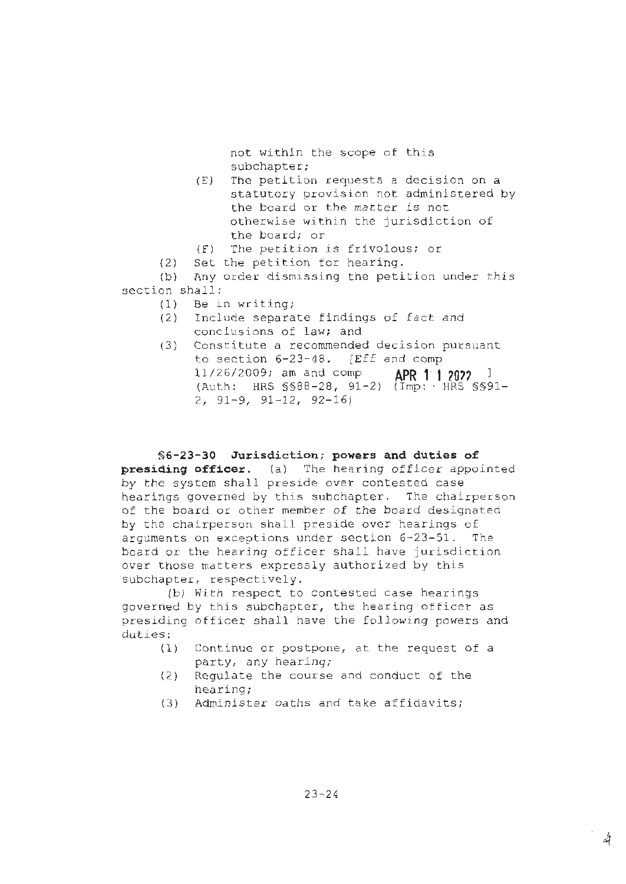not within the scope of this subchapter;

- $(E)$  The petition requests a decision on a statutory provision not administered by the board or the matter is not otherwise within the jurisdiction of the board; or
- {F) The petition is frivolous; or
- $(2)$  Set the petition for hearing.

(b) Any order dismissing the petition under this section shall:

- (1) Be in wr iting;
- (2) Include separate findings of fact and conclusions of law; and
- (3) Constitute a recommended decision pursuant to section  $6-23-48$ . [Eff and comp 11/26/2009; am and comp **APR f 1** *?On* ] (Auth: HRS § §88-28, 91-2) (Imp: · HRS §§91-  $2, 91-9, 91-12, 92-16$

**§6-23-30 Jurisdiction; powers and duties of presiding officer.** (a) The hearing officer appointed by the system shall preside over contested case hearings governed by this subchapter. The chairperson of the board or other member of the board designated by the chairperson shall preside over hearings of arguments on exceptions under section 6-23-51. The board or the hearing officer shall have jurisdiction over those matters expressly authorized by this subchapter, respectively.

(b) With respect to contested case hearings governed by this subchapter, the hearing officer as presiding officer shall have the following powers and duties:

- (1) Continue or postpone, at the request of a party, any hearing;
- (2) Requlate the course and conduct of the hearing;
- (3) Administer oaths and take affidavits;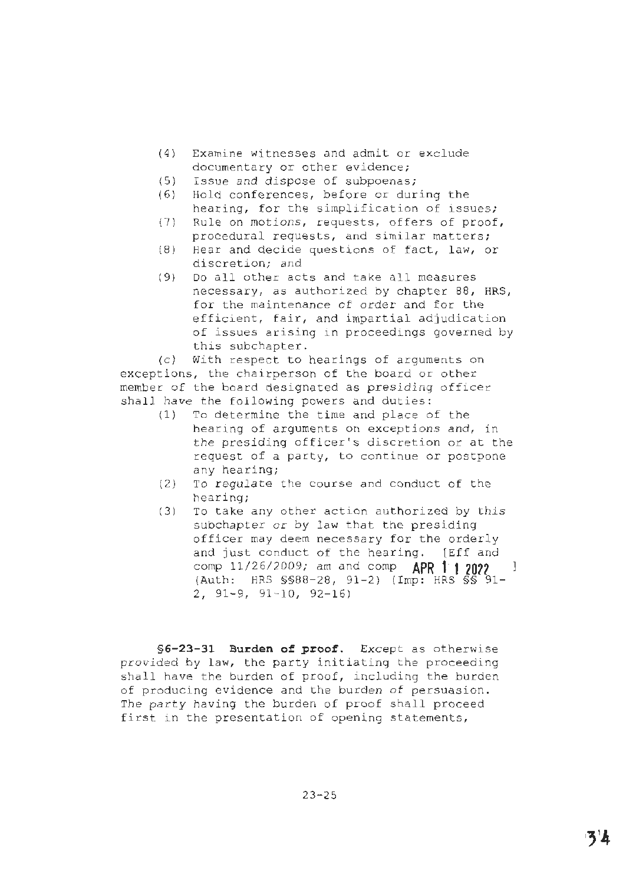- (4) Examine witnesses and admit or exclude documentary or other evidence;
- $(5)$  Issue and dispose of subpoenas;
- (6) Hold conferences, before or during the hearing, for the simplification of issues;
- (7) Rule on motions, requests, offers of proof, procedural requests, and similar matters;
- (8 ) Hear and decide questions of fact, law, or discretion; and
- (9) Do all other acts and take all measures necessary, as authorized by chapter 88, HRS, for the maintenance of order and for the efficient, fair, and impartial adjudication of issues arising in proceedings governed by this subchapter.

(c) With respect to hearings of arguments on exceptions, the chairperson of the board or other member of the board designated as presiding officer shall have the following powers and duties:

- (1) To determine the time and place of the hearing of arguments on exceptions and, in the presiding officer's discretion or at the request of a party, to continue or postpone any hearing;
- $(2)$  To regulate the course and conduct of the hearing;
- $(3)$  To take any other action authorized by this subchapter or by law that the presiding officer may deem necessary for the orderly and just conduct of the hearing. [Eff and comp 11/2 6/2009; am and comp **APR 1" 1 20??**   $(Auth: HRS SSB8-28, 91-2)$  (Imp: HRS  $\overline{S}\overline{S}$  91- $2, 91-9, 91-10, 92-16$

**§ 6-23-31 Burden of proof.** Except as otherwise provided by law, the party initiating the proceeding shall have the burden of proof, including the burden of producing evidence and the burden of persuasion. The party having the burden of proof shall proceed first in the presentation of opening statements,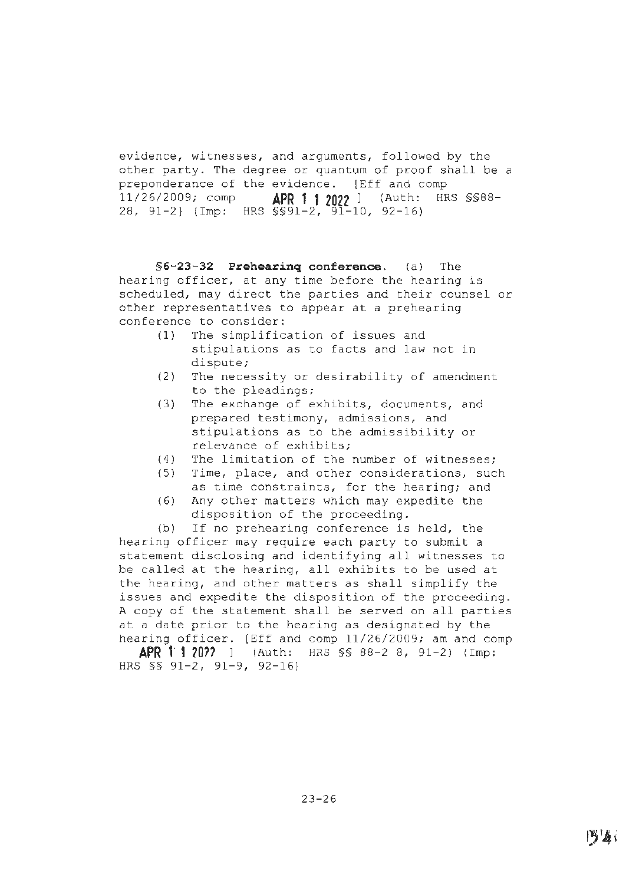evidence, witnesses, and arguments, followed by the other party. The degree or quantum of proof shall be a preponderance of the evidence. [Eff and comp 11/26/2009; comp **APR 1 1 2022** ] (Auth: HRS §§88- 28, 91-2} (Imp: HRS §§91-2, 91-10, 92-16)

**§6-23-32 Prehearing conference.** (a) The hearing officer, at any time before the hearing is scheduled, may direct the parties and their counsel or other representatives to appear at a prehearing conference to consider:

- (1) The simplification of issues and stipulations as to facts and law not in dispute;
- (2) The necessity or desirability of amendment to the pleadings;
- (3) The exchange of exhibits, documents, and prepared testimony, admissions, and stipulations as to the admissibility or relevance of exhibits;
- (4) The limitation of the number of witnesses;
- (5) Time, place, and other considerations, such as time constraints, for the hearing; and
- (6) Any other matters which may expedite the disposition of the proceeding.

{b) If no prehearing conference is held, the hearing officer may require each party to submit a statement disclosing and identifying all witnesses to be called at the hearing, all exhibits to be used at the hearing, and other matters as shall simplify the issues and expedite the disposition of the proceeding. A copy of the statement shall be served on all parties at a date prior to the hearing as designated by the hearing officer. [Eff and comp 11/26/2009; am and comp

**APR 1· 1 20??** ] (Auth: HRS §§ 88-2 B, 91-2) (Imp: HRS §§ 91-2, 91-9, 92-16)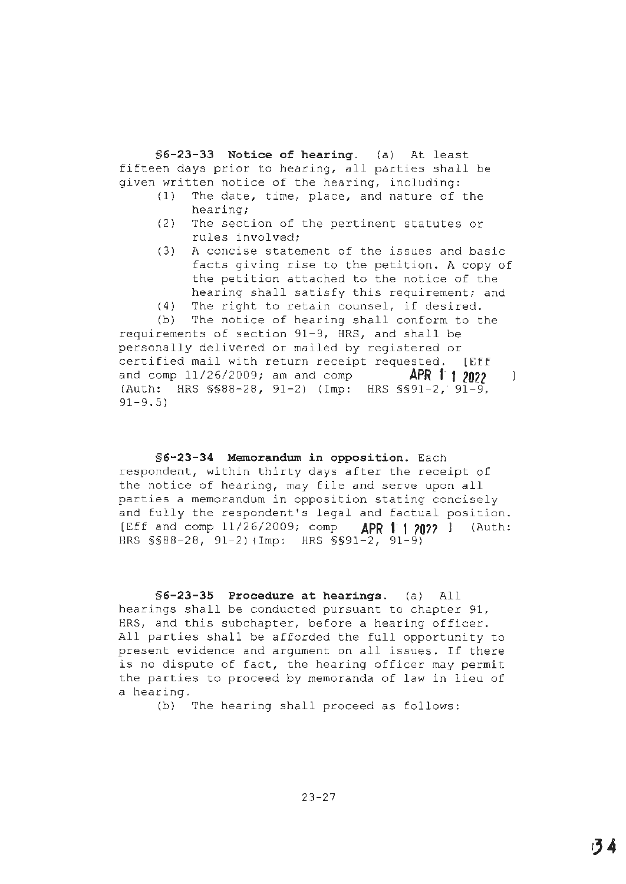**§6-23-33 Notice of hearing.** (a) At least fifteen days prior to hearing, all parties shall be given written notice of the hearing, including:

- (1) The date, time, place, and nature of the hearing;
- (2) The section of the pertinent statutes or rules involved;
- (3) A concise statement of the issues and basic facts giving rise to the petition. A copy of the petition attached to the notice of the hearing shall satisfy this requirement; and
- (4) The right to retain counsel, if desired.

(b) The notice of hearing shall conform to the requirements of section 91-9, HRS, and shall be personally delivered or mailed by registered or certified mail with return receipt requested. [Eff and comp 11/26/2009; am and comp **APR 1 1 2022**  $\overline{1}$ (Auth: HRS §§88-28, 91-2) (Imp: HRS §§91-2, 91-9, 91-9.5)

**§6-23-34 Memorandum in opposition.** Each respondent, within thirty days after the receipt of the notice of hearing, may file and serve upon all parties a memorandum in opposition stating concisely and fully the respondent's legal and factual position. [Eff and comp 11/26/2009; comp **APR 1 1 2022** ] (Auth: HRS §§88-28, 91-2) (Imp: HRS §§91-2, 91-9)

**§6-23-35 Procedure at hearings.** (a) All hearings shall be conducted pursuant to chapter 91, HRS, and this subchapter, before a hearing officer. All parties shall be afforded the full opportunity to present evidence and argument on all issues. If there is no dispute of fact, the hearing officer may permit the parties to proceed by memoranda of law in lieu of a hearing.

(b) The hearing shall proceed as follows: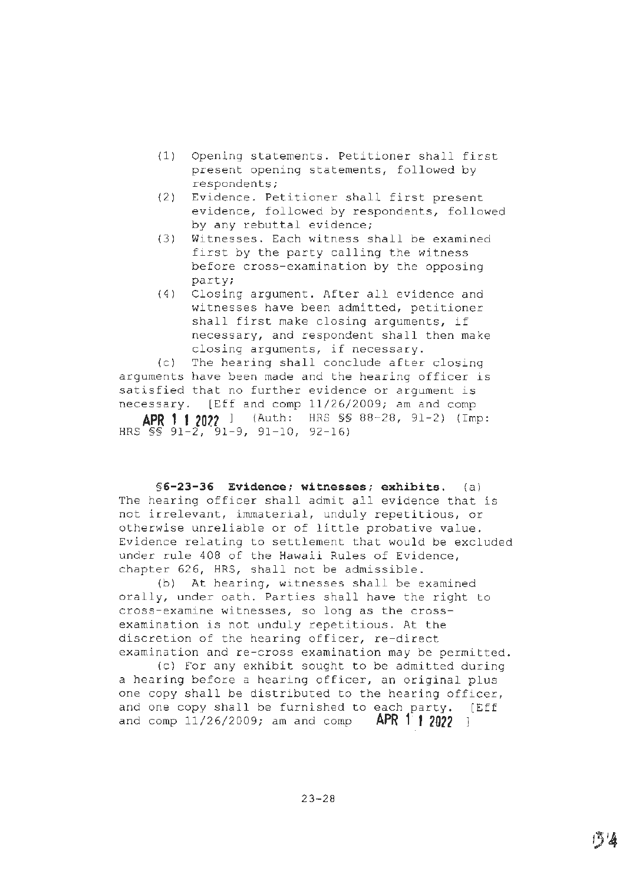- (1) Opening statements. Petitioner shall first present opening statements, followed by respondents;
- (2) Evidence. Petitioner shall first present evidence, followed by respondents, followed by any rebuttal evidence;
- (3) Witnesses. Each witness shall be examined first by the party calling the witness before cross-examination by the opposing party;
- (4) Closing argument. After all evidence and witnesses have been admitted, petitioner shall first make closing arguments, if necessary, and respondent shall then make closing arguments, if necessary.

(c) The hearing shall conclude after closing arguments have been made and the hearing officer is satisfied that no further evidence or argument is necessary. [Eff and comp 11/26/2009; am and comp **APR 1 1 2022** ] (Auth: HRS §§ 88-28, 91-2) (Imp: HRS§§ 91-2, 91-9, 91-10, 92-16)

**§6-23-36 Evidence; witnesses; exhibits.** (a) The hearing officer shall admit all evidence that is not irrelevant, immaterial, unduly repetitious, or otherwise unreliable or of little probative value. Evidence relating to settlement that would be excluded under rule 408 of the Hawaii Rules of Evidence, chapter 626, HRS, shall not be admissible.

(b) At hearing, witnesses shall be examined orally, under oath. Parties shall have the right to cross-examine witnesses, so long as the crossexamination is not unduly repetitious. At the discretion of the hearing officer, re-direct examination and re-cross examination may be permitted.

(c) For any exhibit sought to be admitted during a hearing before a hearing officer, an original plus one copy shall be distributed to the hearing officer, and one copy shall be furnished to each party. [Eff and comp 11/26/2009; am and comp **APR 1· 1 2022** ]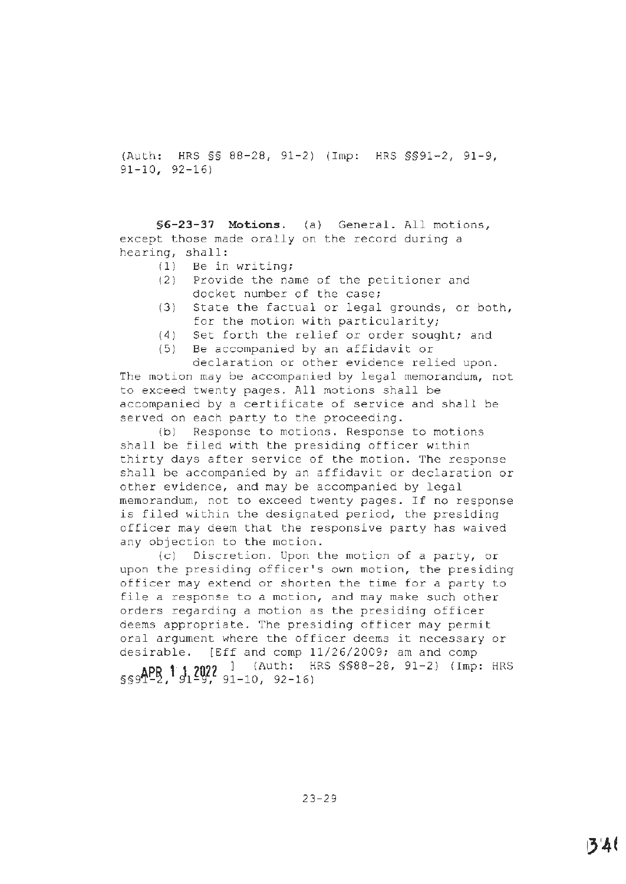(Auth: HRS §§ 88-28, 91-2) (Imp: HRS §§91-2, 91-9, 91-10, 92-16)

**§6-23-37 Motions.** (a) General. All motions, except those made orally on the record during a hearing, shall:

- (1) Be in writing;
- (2) Provide the name of the petitioner and docket number of the case;
- (3) State the factual or legal grounds, or both, for the motion with particularity;
- (4) Set forth the relief or order sought; and
- (5) Be accompanied by an affidavit or

declaration or other evidence relied upon. The motion may be accompanied by legal memorandum, not to exceed twenty pages. All motions shall be accompanied by a certificate of service and shall be served on each party to the proceeding.

(b) Response to motions. Response to motions shall be filed with the presiding officer within thirty days after service of the motion. The response shall be accompanied by an affidavit or declaration or other evidence, and may be accompanied by legal memorandum, not to exceed twenty pages. If no response is filed within the designated period, the presiding officer may deem that the responsive party has waived any objection to the motion.

(cl Discretion. Upon the motion of a party, or upon the presiding officer's own motion, the presiding officer may extend or shorten the time for a party to file a response to a motion, and may make such other orders regarding a motion as the presiding officer deems appropriate. The presiding officer may permit oral argument where the officer deems it necessary or desirable. [Eff and comp 11/26/2009; am and comp **ApD 11 2022** ] {Auth: HRS §§88-28, 91-2) (Imp: HRS §§9T-2,'91-9, 91–10, 92–16)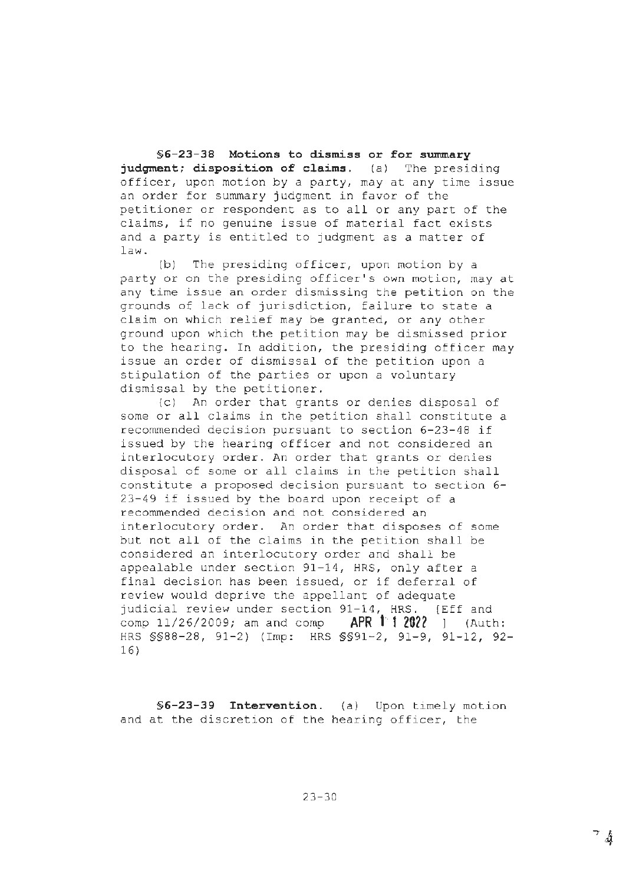**§6-23-38 Motions to dismiss or for swnmary judgment; disposition of claims.** (a) The presiding officer, upon motion by a party, may at any time issue an order for summary judgment in favor of the petitioner or respondent as to all or any part of the claims, if no genuine issue of material fact exists and a party is entitled to judgment as a matter of law.

(b) The presiding officer, upon motion by a party or on the presiding officer's own motion, may at any time issue an order dismissing the petition on the grounds of lack of jurisdiction, failure to state a claim on which relief may be granted, or any other ground upon which the petition may be dismissed prior to the hearing. In addition, the presiding officer may issue an order of dismissal of the petition upon a stipulation of the parties or upon a voluntary dismissal by the petitioner.

(c) An order that grants or denies disposal of some or all claims in the petition shall constitute a recommended decision pursuant to section 6-23-48 if issued by the hearing officer and not considered an interlocutory order. An order that grants or denies disposal of some or all claims in the petition shall constitute a proposed decision pursuant to section 6- 23-49 if issued by the board upon receipt of a recommended decision and not considered an interlocutory order. An order that disposes of some but not all of the claims in the petition shall be considered an interlocutory order and shall be appealable under section 91-14, HRS, only after a final decision has been issued, or if deferral of review would deprive the appellant of adequate judicial review under section 91-14, HRS. [Eff and comp 11/26/2009; am and comp **APR 1' f 2022** ] (Auth: HRS §§88-28, 91-2) (Imp: HRS §§91-2, 91-9, 91-12, 92- 16)

**§6-23-39 Intervention.** (a) Upon timely motion and at the discretion of the hearing officer, the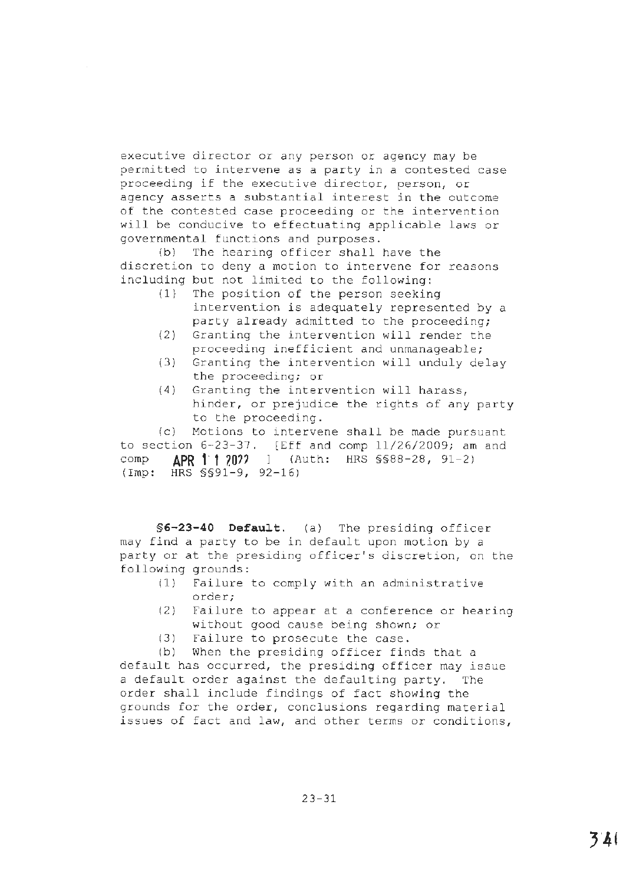executive director or any person or agency may be permitted to intervene as a party in a contested case proceeding if the executive director, person, or agency asserts a substantial interest in the outcome of the contested case proceeding or the intervention will be conducive to effectuating applicable laws or governmental functions and purposes.

(b) The hearing officer shall have the discretion to deny a motion to intervene for reasons including but not limited to the following:

- (1} The position of the person seeking intervention is adequately represented by a party already admitted to the proceeding;
- (2) Granting the intervention will render the proceeding inefficient and unmanageable;
- (3) Granting the intervention will unduly delay the proceeding; or
- (4) Granting the intervention will harass, hinder, or prejudice the rights of any party to the proceeding.

(c) Motions to intervene shall be made pursuant to section 6-23-37. [Eff and comp 11/26/2009; am and comp **APR t· t ?.O??** ] (Auth: HRS §§88-28, 91-2) (Imp: HRS §§91-9, 92-16)

**§6-23-40 Default.** (a) The presiding officer may find a party to be in default upon motion by a party or at the presiding officer's discretion, on the following grounds:

- (1) Failure to comply with an administrative order;
- (2) Failure to appear at a conference or hearing without good cause being shown; or
- (3) Failure to prosecute the case.

(b) When the presiding officer finds that a default has occurred, the presiding officer may issue a default order against the defaulting party. The order shall include findings of fact showing the grounds for the order, conclusions regarding material issues of fact and law, and other terms or conditions,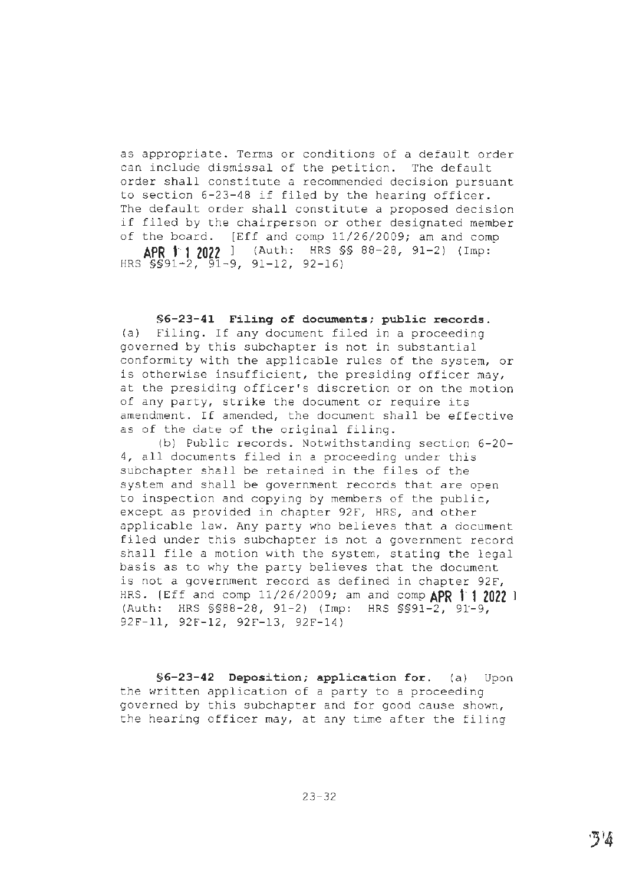as appropriate. Terms or conditions of a default order can include dismissal of the petition. The default order shall constitute a recommended decision pursuant to section 6-23-48 if filed by the hearing officer. The default order shall constitute a proposed decision if filed by the chairperson or other designated member of the board. [Eff and comp 11/26/2009; am and comp **APR 1· 1 2022** l {Auth: HRS §§ 88-28, 91-2) {Imp: HRS §§91~2, 91-9, 91-12, 92-16)

**§6-23-41 Filing of documents; public records.** 

(a) Filing. If any document filed in a proceeding governed by this subchapter is not in substantial conformity with the applicable rules of the system, or is otherwise insufficient, the presiding officer may, at the presiding officer's discretion or on the motion of any party, strike the document or require its amendment. If amended, the document shall be effective as of the date of the original filing.

(b} Public records. Notwithstanding section 6-20- 4, all documents filed in a proceeding under this subchapter shall be retained in the files of the system and shall be government records that are open to inspection and copying by members of the public, except as provided in chapter 92F, HRS, and other applicable law. Any party who believes that a document filed under this subchapter is not a government record shall file a motion with the system, stating the legal basis as to why the party believes that the document is not a government record as defined in chapter 92F, HRS. (Eff and comp 11/26/2009; am and comp **APR 1· 1 2022** <sup>l</sup> (Auth: HRS §§88-28, 91-2) (Imp: HRS §§91-2, 91'-9, 92F-ll, 92F-12, 92F-13, 92F-14)

**§6-23-42 Deposition; application for.** (a) Upon the written application of a party to a proceeding governed by this subchapter and for good cause shown, the hearing officer may, at any time after the filing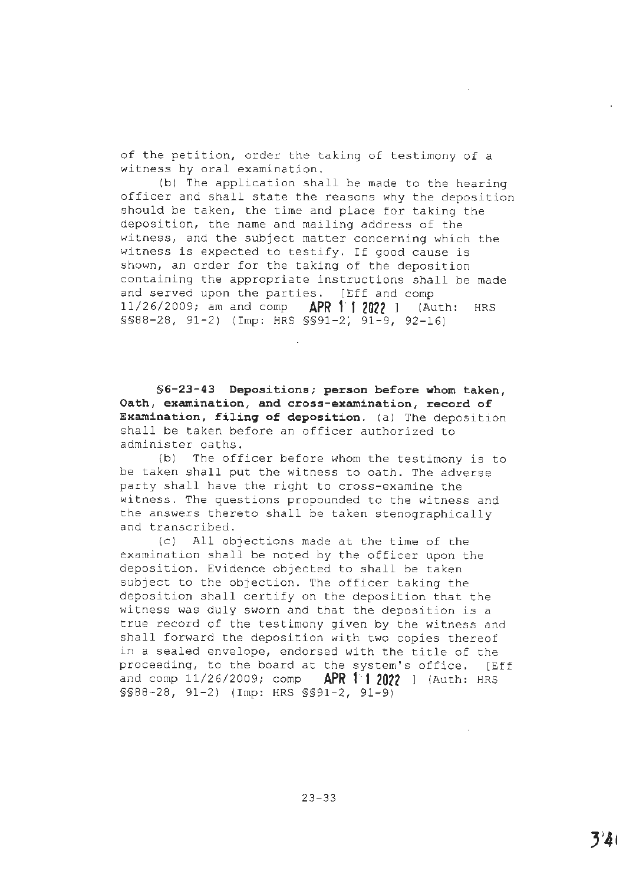of the petition, order the taking of testimony of a witness by oral examination.

(b) The application shall be made to the hearing officer and shall state the reasons why the deposition should be taken, the time and place for taking the deposition, the name and mailing address of the witness, and the subject matter concerning which the witness is expected to testify. If good cause is shown, an order for the taking of the deposition containing the appropriate instructions shall be made and served upon the parties. [Eff and comp 11/26/2009; am and comp **APR 1· 1 2022** ] (Auth: HRS §§88-28, 91-2) (Imp: HRS §§91-2~ 91-9, 92-16)

**§6-23-43 Depositions; person before whom taken, Oath, examination, and cross-examination, record of Examination, filing of deposition.** (a) The deposition shall be taken before an officer authorized to administer oaths.

{b) The officer before whom the testimony is to be taken shall put the witness to oath. The adverse party shall have the right to cross-examine the witness. The questions propounded to the witness and the answers thereto shall be taken stenographically and transcribed.

(cJ All objections made at the time of the examination shall be noted by the officer upon the deposition. Evidence objected to shall be taken subject to the objection. The officer taking the deposition shall certify on the deposition that the witness was duly sworn and that the deposition is a true record of the testimony given by the witness and shall forward the deposition with two copies thereof in a sealed envelope, endorsed with the title of the proceeding, to the board at the system's office. [Eff and comp 11/26/2009; comp **APR 11 2022** ] (Auth: HRS §§88-28, 91-2) (Imp: HRS §§91-2, 91-9)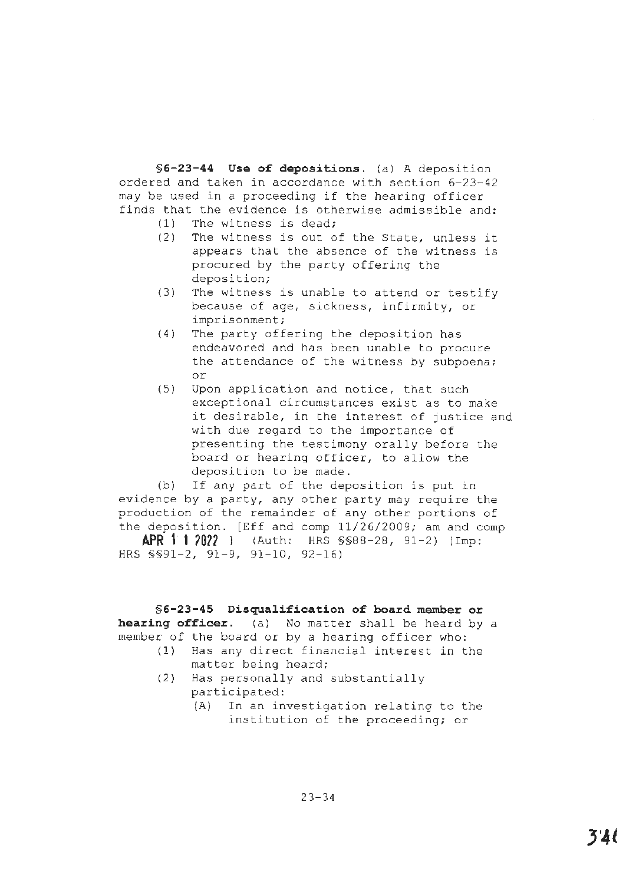**§6-23-44 Use of depositions.** (a) A deposition ordered and taken in accordance with section 6-23-42 may be used in a proceeding if the hearing officer finds that the evidence is otherwise admissible and:

- (1) The witness is dead;
- (2) The witness is out of the State, unless it appears that the absence of the witness is procured by the party offering the deposition;
- (3) The witness is unable to attend or testify because of age, sickness, infirmity, or imprisonment;
- (4) The party offering the deposition has endeavored and has been unable to procure the attendance of the witness by subpoena; or
- (5) Upon application and notice, that such exceptional circumstances exist as to make it desirable, in the interest of justice and with due regard to the importance of presenting the testimony orally before the board or hearing officer, to allow the deposition to be made.

(b) If any part of the deposition is put in evidence by a party, any other party may require the production of the remainder of any other portions of the deposition. [Eff and comp 11/26/2009; am and comp

**APR 1· 1 ?0?7** ] (Auth: HRS §§88-28, 91-2) (Imp: HRS \$\$91-2, 91-9, 91-10, 92-16)

**§6-23-45 Disqualification of board member or hearing officer.** (a) No matter shall be heard by a member of the board or by a hearing officer who:

- (1) Has any direct financial interest in the matter being heard;
- (2) Has personally and substantially participated:
	- (A) In an investigation relating to the institution of the proceeding; or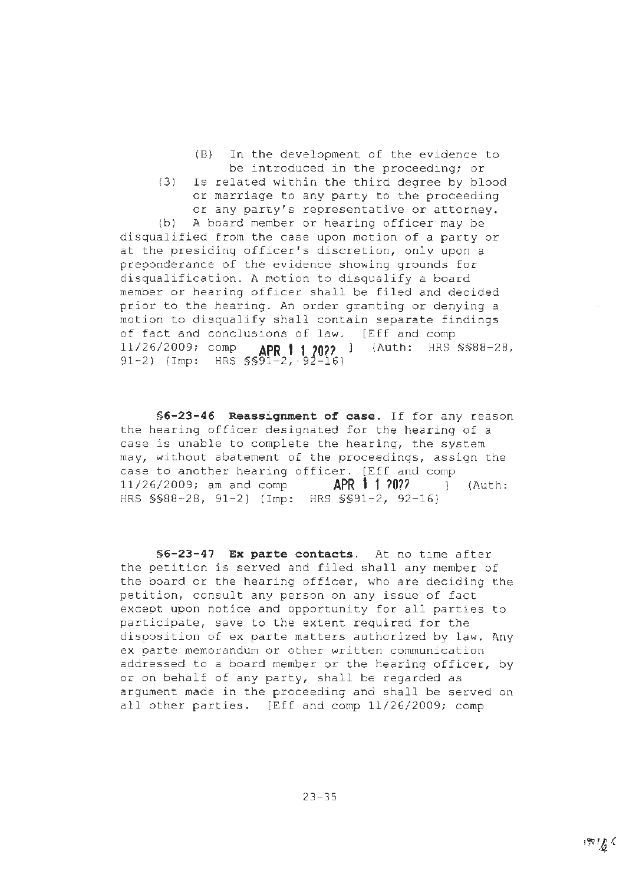- (B) In the development of the evidence to be introduced in the proceeding; or
- (3) Is related within the third degree by blood or marriage to any party to the proceeding or any party's representative or attorney.

(b) A board member or hearing officer may be disqualified from the case upon motion of a party or at the presiding officer's discretion, only upon a preponderance of the evidence showing grounds for disqualification. A motion to disqualify a board member or hearing officer shall be filed and decided prior to the hearing. An order granting or denying a motion to disqualify shall contain separate findings of fact and conclusions of law. [Eff and comp 11/26/2009; comp **APR 1 1 JO??** ] (Auth: HRS §§88-28, 91-2) (Imp: HRS §§91-2, · 9 -16)

**§ 6-23-46 Reassignment of case.** If for any reason the hearing officer designated for the hearing of a case is unable to complete the hearing, the system may, without abatement of the proceedings, assign the case to another hearing officer. [Eff and comp 11/26/2009; am and comp **APR 1 1** *?On* l (Auth: HRS §§88-28, 91-2} {Imp: HRS §§91-2, 92-16}

**§6-23-47 Ex parte contacts.** At no time after the petition is served and filed shall any member of the board or the hearing officer, who are deciding the petition, consult any person on any issue of fact except upon notice and opportunity for all parties to participate, save to the extent required for the disposition of ex parte matters authorized by law. Any ex parte memorandum or other written communication addressed to a board member or the hearing officer, by or on behalf of any party, shall be regarded as argument made in the proceeding and shall be served on all other parties. [Eff and comp 11/26/2009; comp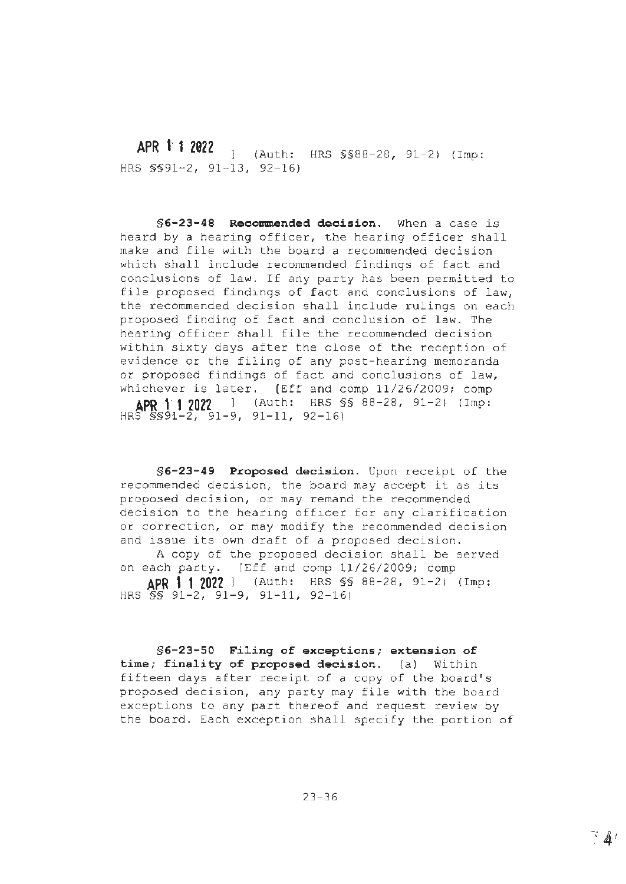**APR 1· 1 2022** (Auth: HRS §§88-28, 91-2) (Imp: HRS §§91-2, 91-13, 92-16)

**§6-23-48 Recommended decision.** When a case is heard by a hearing officer, the hearing officer shall make and file with the board a recommended decision which shall include recommended findings of fact and conclusions of law. If any party has been permitted to file proposed findings of fact and conclusions of law, the recommended decision shall include rulings on each proposed finding of fact and conclusion of law. The hearing officer shall file the recommended decision within sixty days after the close of the reception of evidence or the filing of any post-hearing memoranda or proposed findings of fact and conclusions of law, whichever is later. [Eff and comp 11/26/2009; comp **APR 11 2022** (Auth: HRS §§ 88-28, 91-2) (Imp:  $HRS''$  $SSS1-2$ ,  $91-9$ ,  $91-11$ ,  $92-16$ )

**§6-23-49 Proposed decision.** Upon receipt of the recommended decision, the board may accept it as its proposed decision, or may remand the recommended decision to the hearing officer for any clarification or correction, or may modify the recommended decision and issue its own draft of a proposed decision. A copy of the proposed decision shall be served on each party. [Eff and comp 11/26/2009; comp

**APR 11 2022** l (Auth: HRS §§ 88-28, 91-2) (Imp: HRS  $\overline{S}$ s' 91-2, 91-9, 91-11, 92-16)

**§6-23-50 Filing of exceptions; extension of time; finality of proposed decision.** (a) Within fifteen days after receipt of a copy of the board's proposed decision, any party may file with the board exceptions to any part thereof and request review by the board. Each exception shall specify the portion of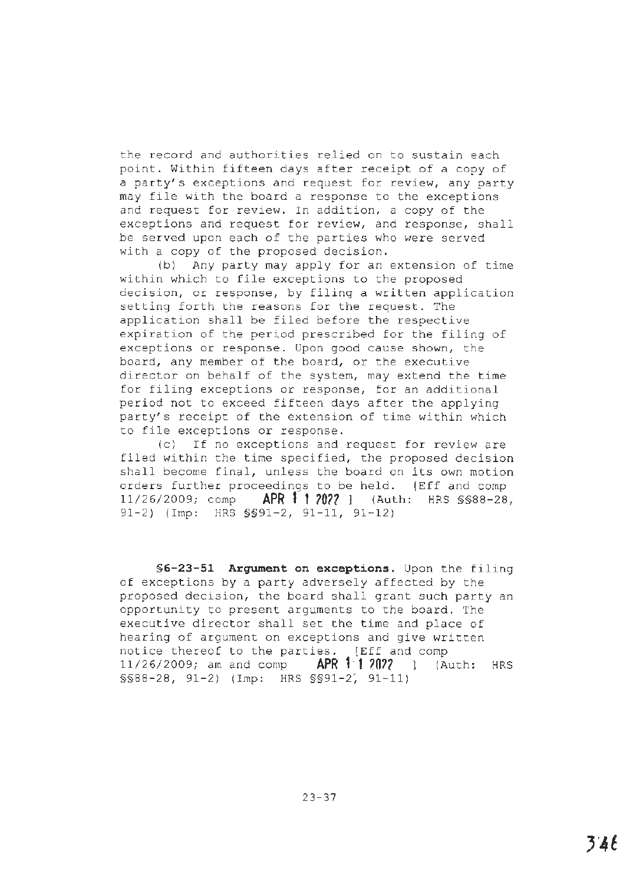the record and authorities relied on to sustain each point. Within fifteen days after receipt of a copy of a party's exceptions and request for review, any party may file with the board a response to the exceptions and request for review. In addition, a copy of the exceptions and request for review, and response, shall be served upon each of the parties who were served with a copy of the proposed decision.

(b) Any party may apply for an extension of time within which to file exceptions to the proposed decision, or response, by filing a written application setting forth the reasons for the request. The application shall be filed before the respective expiration of the period prescribed for the filing of exceptions or response. Upon good cause shown, the board, any member of the board, or the executive director on behalf of the system, may extend the time for filing exceptions or response, for an additional period not to exceed fifteen days after the applying party's receipt of the extension of time within which to file exceptions or response.

(c) If no exceptions and request for review are filed within the time specified, the proposed decision shall become final, unless the board on its own motion orders further proceedings to be held. [Eff and comp 11/26/2009; comp **APR 1 1 2022** ] (Auth: HRS \$\$88-28, 91-2) (Imp: HRS §§91-2, 91-11, 91-12)

**§6-23-51 Argument on exceptions.** Upon the filing of exceptions by a party adversely affected by the proposed decision, the board shall grant such party an opportunity to present arguments to the board. The executive director shall set the time and place of hearing of argument on exceptions and give written notice thereof to the parties. [Eff and comp 11/26/2009; am and comp **APR 11 ?0??** ] (Auth: HRS §§88-28, 91-2) (Imp: HRS §§91-2', 91-11)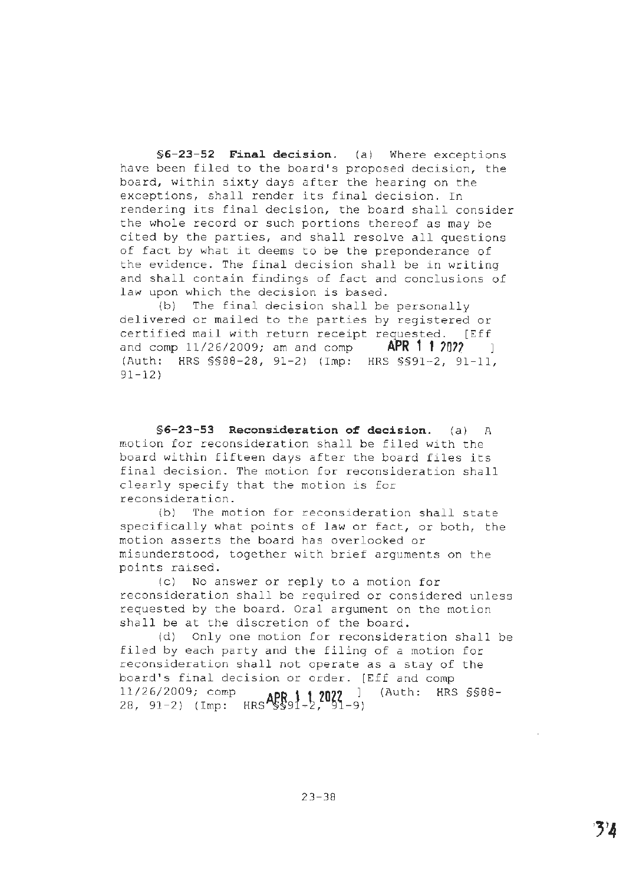**§6-23-52 Final decision.** (a) Where exceptions have been filed to the board's proposed decision, the board, within sixty days after the hearing on the exceptions, shall render its final decision. In rendering its final decision, the board shall consider the whole record or such portions thereof as may be cited by the parties, and shall resolve all questions of fact by what it deems to be the preponderance of the evidence. The final decision shall be in writing and shall contain findings of fact and conclusions of law upon which the decision is based.

(b) The final decision shall be personally delivered or mailed to the parties by registered or certified mail with return receipt requested. [Eff and comp 11/26/2009; am and comp **APR 1 1 2022** (Auth: HRS §§88-28, 91-2) (Imp: HRS §§91-2, 91-11, 91-12)

**§6-23-53 Reconsideration of decision.** (a) A motion for reconsideration shall be filed with the board within fifteen days after the board files its final decision. The motion for reconsideration shall clearly specify that the motion is for reconsideration.

(bl The motion for reconsideration shall state specifically what points of law or fact, or both, the motion asserts the board has overlooked or misunderstood, together with brief arguments on the points raised.

(c) No answer or reply to a motion for reconsideration shall be required or considered unless requested by the board. Oral argument on the motion shall be at the discretion of the board.

(d) Only one motion for reconsideration shall be filed by each party and the filing of a motion for reconsideration shall not operate as a stay of the board's final decision or order. (Eff and comp 11/26/2009; comp **APR \ 1 20??** ] (Auth: HRS §§88- 28, 91-2) (Imp: HRS §§'91-2, ~l-9)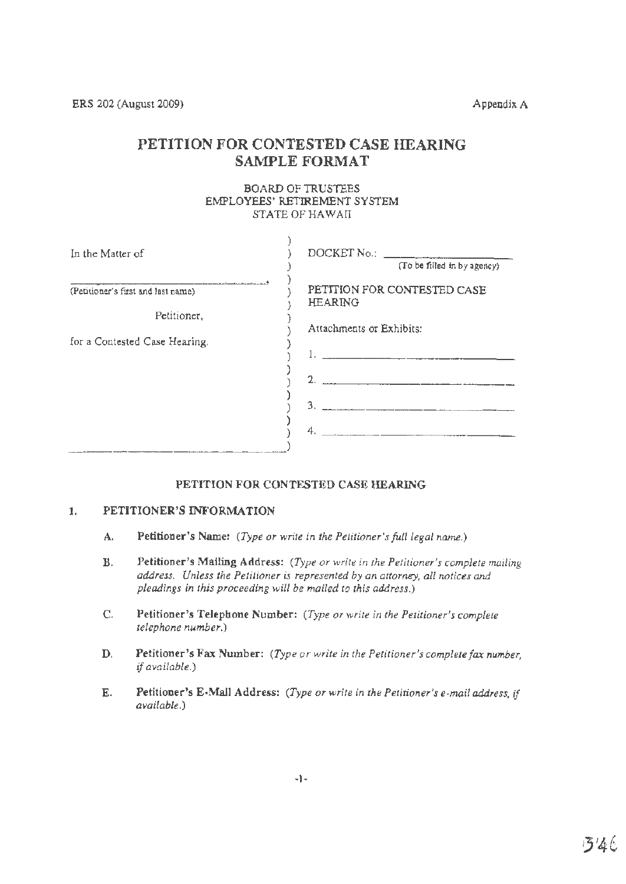ERS 202 (August 2009) Appendix A

# **PETITION FOR** CONTESTED CASE **HEARING**  SAMPLE **FORMAT**

BOARD OF TRUSTEES EMPLOYEES' RETIREMENT SYSTEM STATE OF HAWAIT

| In the Matter of                   | DOCKET No.:<br>(To be filled in by agency)    |
|------------------------------------|-----------------------------------------------|
|                                    |                                               |
| (Petitioner's first and last name) | PETITION FOR CONTESTED CASE<br><b>HEARING</b> |
| Petitioner,                        |                                               |
|                                    | Attachments or Exhibits:                      |
| for a Contested Case Hearing.      |                                               |
|                                    | $2.$ $\frac{1}{2}$                            |
|                                    | 3.                                            |
|                                    | 4.                                            |

# **PETITION FOR CONTESTED CASE HEARING**

# **1. PETITIONER'S INFORMATION**

- **A. Petitioner's Name:** *(Type or write in the Petitioner'sfull legal name.)*
- **B. Petitioner's Malling Address:** (Type *or write in the Petitioner's complete mailing address. Unless the Petitioner is represented by an attorney, all notices and pleadings in this proceeding will be mailed to this address.)*
- **C. Petitioner's Telephone Number:** *(Type or write in the Petitioner's complete telephone number.)*
- **D. Petitioner's Fax Number:** *(Type or write in the Petitioner's completefax number, ifavailable.)*
- **E. Petitioner's E•Mall Address:** *(Type or write in the Petitioner's e-mail address, if*  available.)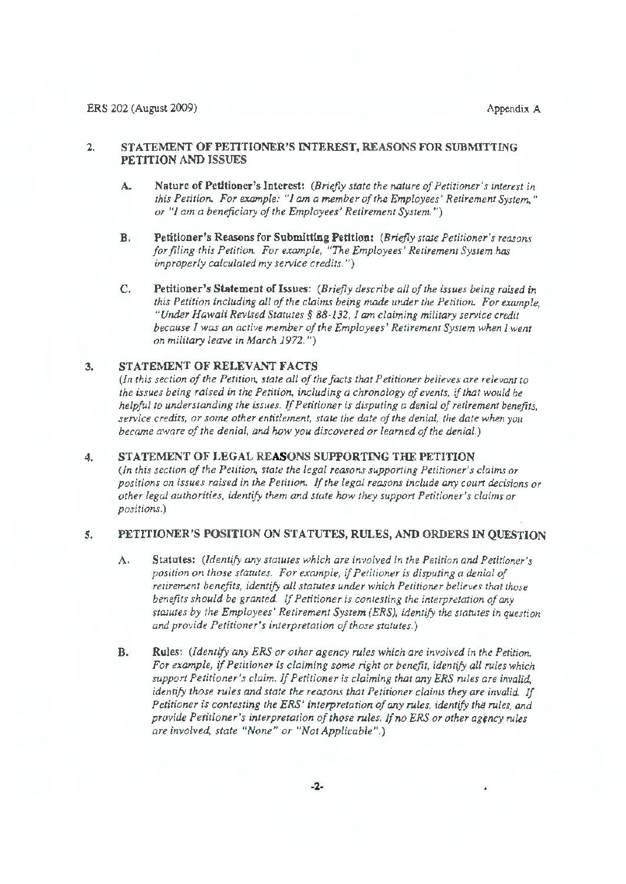# 2. STATEMENT OF PETITIONER'S INTEREST, REASONS FOR SUBMITTING **PETITION AND ISSUES**

- **A. Nature of Petitioner's Interest:** *(Bn'ejly state the nature of Petitioner's interest in this Petition. For example: "I am a member ofthe Employees' Retirement System," or* "*I* am a beneficiary of the Employees' Retirement System.")
- **B. Petitioner's Reasons for Submitting Petition:** *(Briefly state Petitioner's reasons for filing this Petition. For example, "The Employees' Retirement System has improperly calculated my service credits.")*
- C. **Petitioner's Statement of Issues:** *(Briefly describe all ofthe issues being raised in*  this Petition including all of the claims being made under the Petition. For example, *"Under Hawaii Revised Statutes§ 88-132, I am claiming military service credit because I was an active member ofthe Employees' Retirement System when I went on military leave in March 1972.* ")

## 3. **STATEMENT OF RELEVANT FACTS**

*(In this section of the Petition, state all of the facts that Petitioner believes are relevant to the issues being raised in the Petition, including a chronology ofevents, ifthat would be helpful to understanding the issues. If Petitioner is disputing a denial of retirement benefits, service credits, or some other entitlement, state the date ofthe denial, the date when you became aware of the denial, and how you discovered or learned of the denial.)* 

## 4. STATEMENT OF LEGAL REASONS SUPPORTING THE PETITION *(In this section of the Petition, state the legal reasons supporting Petitioner's claims or positions on issues raised in the Petition.* If*the legal reasons include* arry *court decisions or other legal. authorities, identify them and state* how *they support Petitioner's claims or positions.)*

### 5. PETITIONER'S POSITION ON STATUTES, RULES, AND ORDERS IN QUESTION

- **A, Statutes:** *(Identify any statures which are involved in the Petition and Petitioner's position on those sfatutes. For example, ifPetitioner* is *disputing a denial of*  retirement benefits, identify all statutes under which Petitioner believes that those *benefits should be granted.* If*Petitioner is contesting the interpretation of*any statutes by the Employees' Retirement System (ERS), identify the statutes in question *and provide Petitioner's interpretation of those statutes.)*
- **B. Rules:** *(Identify any ERS or other agency rules which are involved in rhe Petition.*  For example, if Petitioner is claiming some right or benefit, identify all rules which *support Petitioner's claim.* If*Petitioner is claiming that* any *ERS rules are invalid, identify those rules and state the reasons that Petitioner claims they are invalid. If Petitioner is contesting the ERS' 1'nterpretarion of*any *rules, identify the rules, and provide Petitioner's interpretation of those rules. If no ERS or other agency rules are involved, state "None" or "Not Applicable".)*